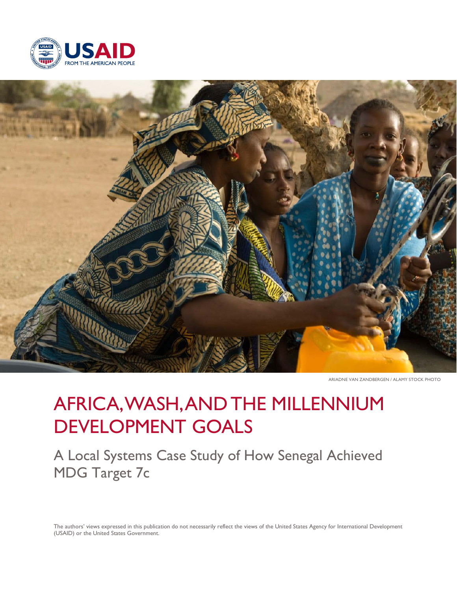



ARIADNE VAN ZANDBERGEN / ALAMY STOCK PHOTO

# AFRICA, WASH, AND THE MILLENNIUM DEVELOPMENT GOALS

A Local Systems Case Study of How Senegal Achieved MDG Target 7c

The authors' views expressed in this publication do not necessarily reflect the views of the United States Agency for International Development (USAID) or the United States Government.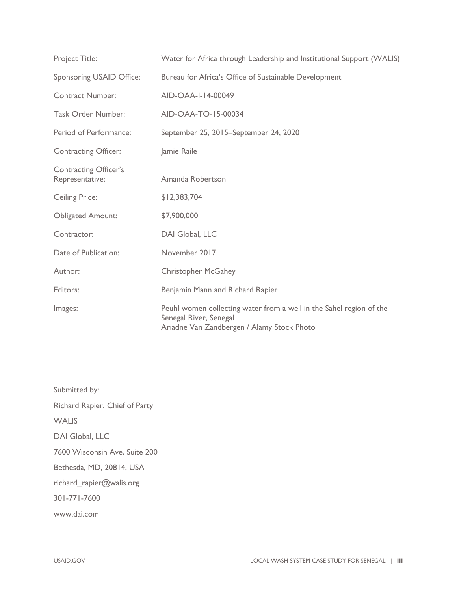| Project Title:                                  | Water for Africa through Leadership and Institutional Support (WALIS)                                                                       |
|-------------------------------------------------|---------------------------------------------------------------------------------------------------------------------------------------------|
| Sponsoring USAID Office:                        | Bureau for Africa's Office of Sustainable Development                                                                                       |
| <b>Contract Number:</b>                         | AID-OAA-I-14-00049                                                                                                                          |
| <b>Task Order Number:</b>                       | AID-OAA-TO-15-00034                                                                                                                         |
| Period of Performance:                          | September 25, 2015-September 24, 2020                                                                                                       |
| <b>Contracting Officer:</b>                     | Jamie Raile                                                                                                                                 |
| <b>Contracting Officer's</b><br>Representative: | Amanda Robertson                                                                                                                            |
| <b>Ceiling Price:</b>                           | \$12,383,704                                                                                                                                |
| <b>Obligated Amount:</b>                        | \$7,900,000                                                                                                                                 |
| Contractor:                                     | DAI Global, LLC                                                                                                                             |
| Date of Publication:                            | November 2017                                                                                                                               |
| Author:                                         | <b>Christopher McGahey</b>                                                                                                                  |
| Editors:                                        | Benjamin Mann and Richard Rapier                                                                                                            |
| Images:                                         | Peuhl women collecting water from a well in the Sahel region of the<br>Senegal River, Senegal<br>Ariadne Van Zandbergen / Alamy Stock Photo |

Submitted by: Richard Rapier, Chief of Party **WALIS** DAI Global, LLC 7600 Wisconsin Ave, Suite 200 Bethesda, MD, 20814, USA richard\_rapier@walis.org 301-771-7600 www.dai.com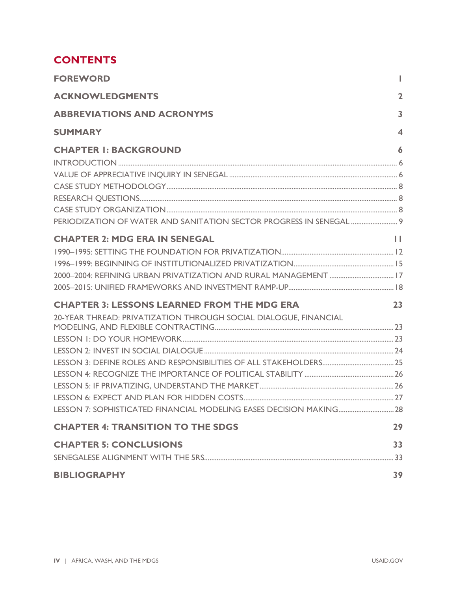# **CONTENTS**

| <b>FOREWORD</b>                                                  |                     |
|------------------------------------------------------------------|---------------------|
| <b>ACKNOWLEDGMENTS</b>                                           | $\overline{2}$      |
| <b>ABBREVIATIONS AND ACRONYMS</b>                                | 3                   |
| <b>SUMMARY</b>                                                   | $\overline{\bf{4}}$ |
| <b>CHAPTER I: BACKGROUND</b>                                     | 6                   |
| PERIODIZATION OF WATER AND SANITATION SECTOR PROGRESS IN SENEGAL |                     |
| <b>CHAPTER 2: MDG ERA IN SENEGAL</b>                             | Ш                   |
| <b>CHAPTER 3: LESSONS LEARNED FROM THE MDG ERA</b>               | 23                  |
| 20-YEAR THREAD: PRIVATIZATION THROUGH SOCIAL DIALOGUE, FINANCIAL |                     |
| <b>CHAPTER 4: TRANSITION TO THE SDGS</b>                         | 29                  |
| <b>CHAPTER 5: CONCLUSIONS</b>                                    | 33                  |
| <b>BIBLIOGRAPHY</b>                                              | 39                  |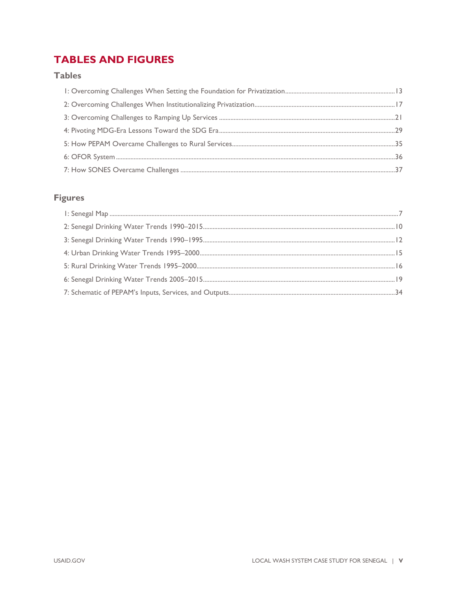# **TABLES AND FIGURES**

### **Tables**

### **Figures**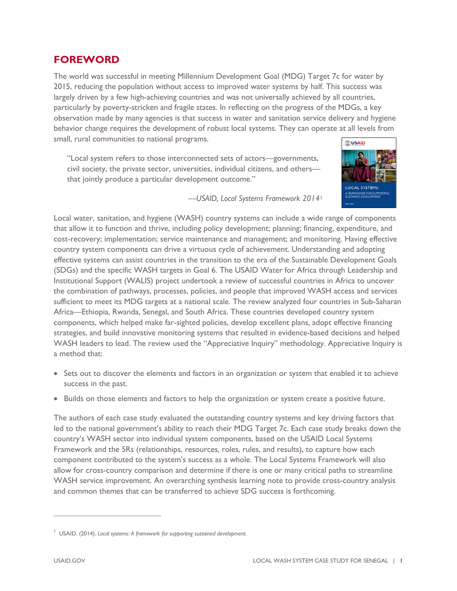### **FOREWORD**

The world was successful in meeting Millennium Development Goal (MDG) Target 7c for water by 2015, reducing the population without access to improved water systems by half. This success was largely driven by a few high-achieving countries and was not universally achieved by all countries, particularly by poverty-stricken and fragile states. In reflecting on the progress of the MDGs, a key observation made by many agencies is that success in water and sanitation service delivery and hygiene behavior change requires the development of robust local systems. They can operate at all levels from small, rural communities to national programs.

"Local system refers to those interconnected sets of actors—governments, civil society, the private sector, universities, individual citizens, and others that jointly produce a particular development outcome."



*—USAID, Local Systems Framework 2014*[1](#page-5-0)

Local water, sanitation, and hygiene (WASH) country systems can include a wide range of components that allow it to function and thrive, including policy development; planning; financing, expenditure, and cost-recovery; implementation; service maintenance and management; and monitoring. Having effective country system components can drive a virtuous cycle of achievement. Understanding and adopting effective systems can assist countries in the transition to the era of the Sustainable Development Goals (SDGs) and the specific WASH targets in Goal 6. The USAID Water for Africa through Leadership and Institutional Support (WALIS) project undertook a review of successful countries in Africa to uncover the combination of pathways, processes, policies, and people that improved WASH access and services sufficient to meet its MDG targets at a national scale. The review analyzed four countries in Sub-Saharan Africa—Ethiopia, Rwanda, Senegal, and South Africa. These countries developed country system components, which helped make far-sighted policies, develop excellent plans, adopt effective financing strategies, and build innovative monitoring systems that resulted in evidence-based decisions and helped WASH leaders to lead. The review used the "Appreciative Inquiry" methodology. Appreciative Inquiry is a method that:

- Sets out to discover the elements and factors in an organization or system that enabled it to achieve success in the past.
- Builds on those elements and factors to help the organization or system create a positive future.

The authors of each case study evaluated the outstanding country systems and key driving factors that led to the national government's ability to reach their MDG Target 7c. Each case study breaks down the country's WASH sector into individual system components, based on the USAID Local Systems Framework and the 5Rs (relationships, resources, roles, rules, and results), to capture how each component contributed to the system's success as a whole. The Local Systems Framework will also allow for cross-country comparison and determine if there is one or many critical paths to streamline WASH service improvement. An overarching synthesis learning note to provide cross-country analysis and common themes that can be transferred to achieve SDG success is forthcoming.

<span id="page-5-0"></span><sup>&</sup>lt;sup>1</sup> USAID. (2014). Local systems: A framework for supporting sustained development.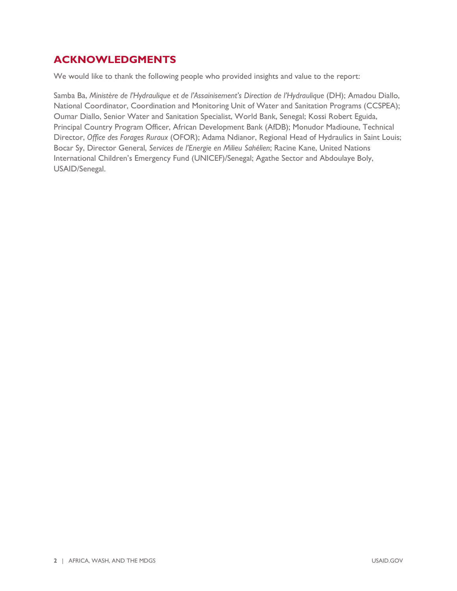### **ACKNOWLEDGMENTS**

We would like to thank the following people who provided insights and value to the report:

Samba Ba, *Ministère de l'Hydraulique et de l'Assainisement's Direction de l'Hydraulique* (DH); Amadou Diallo, National Coordinator, Coordination and Monitoring Unit of Water and Sanitation Programs (CCSPEA); Oumar Diallo, Senior Water and Sanitation Specialist, World Bank, Senegal; Kossi Robert Eguida, Principal Country Program Officer, African Development Bank (AfDB); Monudor Madioune, Technical Director, *Office des Forages Ruraux* (OFOR); Adama Ndianor, Regional Head of Hydraulics in Saint Louis; Bocar Sy, Director General, *Services de l'Energie en Milieu Sahélien*; Racine Kane, United Nations International Children's Emergency Fund (UNICEF)/Senegal; Agathe Sector and Abdoulaye Boly, USAID/Senegal.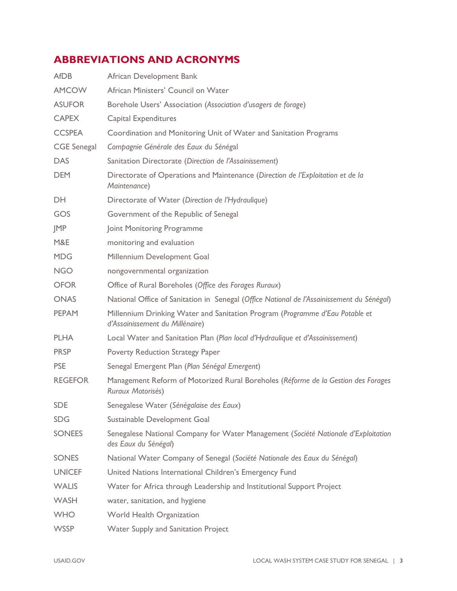# **ABBREVIATIONS AND ACRONYMS**

| <b>AfDB</b>        | African Development Bank                                                                                        |
|--------------------|-----------------------------------------------------------------------------------------------------------------|
| <b>AMCOW</b>       | African Ministers' Council on Water                                                                             |
| <b>ASUFOR</b>      | Borehole Users' Association (Association d'usagers de forage)                                                   |
| <b>CAPEX</b>       | <b>Capital Expenditures</b>                                                                                     |
| <b>CCSPEA</b>      | Coordination and Monitoring Unit of Water and Sanitation Programs                                               |
| <b>CGE</b> Senegal | Compagnie Générale des Eaux du Sénégal                                                                          |
| <b>DAS</b>         | Sanitation Directorate (Direction de l'Assainissement)                                                          |
| <b>DEM</b>         | Directorate of Operations and Maintenance (Direction de l'Exploitation et de la<br>Maintenance)                 |
| DH.                | Directorate of Water (Direction de l'Hydraulique)                                                               |
| GOS                | Government of the Republic of Senegal                                                                           |
| <b>JMP</b>         | Joint Monitoring Programme                                                                                      |
| M&E                | monitoring and evaluation                                                                                       |
| <b>MDG</b>         | Millennium Development Goal                                                                                     |
| <b>NGO</b>         | nongovernmental organization                                                                                    |
| <b>OFOR</b>        | Office of Rural Boreholes (Office des Forages Ruraux)                                                           |
| <b>ONAS</b>        | National Office of Sanitation in Senegal (Office National de l'Assainissement du Sénégal)                       |
| <b>PEPAM</b>       | Millennium Drinking Water and Sanitation Program (Programme d'Eau Potable et<br>d'Assainissement du Millénaire) |
| <b>PLHA</b>        | Local Water and Sanitation Plan (Plan local d'Hydraulique et d'Assainissement)                                  |
| <b>PRSP</b>        | Poverty Reduction Strategy Paper                                                                                |
| <b>PSE</b>         | Senegal Emergent Plan (Plan Sénégal Emergent)                                                                   |
| <b>REGEFOR</b>     | Management Reform of Motorized Rural Boreholes (Réforme de la Gestion des Forages<br>Ruraux Motorisés)          |
| <b>SDE</b>         | Senegalese Water (Sénégalaise des Eaux)                                                                         |
| <b>SDG</b>         | Sustainable Development Goal                                                                                    |
| <b>SONEES</b>      | Senegalese National Company for Water Management (Société Nationale d'Exploitation<br>des Eaux du Sénégal)      |
| <b>SONES</b>       | National Water Company of Senegal (Société Nationale des Eaux du Sénégal)                                       |
| <b>UNICEF</b>      | United Nations International Children's Emergency Fund                                                          |
| <b>WALIS</b>       | Water for Africa through Leadership and Institutional Support Project                                           |
| <b>WASH</b>        | water, sanitation, and hygiene                                                                                  |
| <b>WHO</b>         | World Health Organization                                                                                       |
| <b>WSSP</b>        | Water Supply and Sanitation Project                                                                             |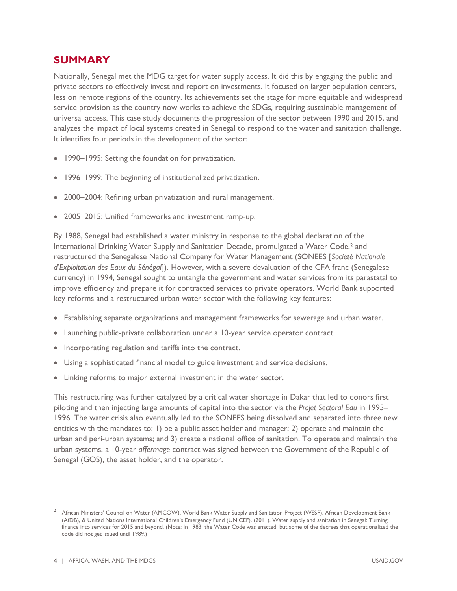### **SUMMARY**

Nationally, Senegal met the MDG target for water supply access. It did this by engaging the public and private sectors to effectively invest and report on investments. It focused on larger population centers, less on remote regions of the country. Its achievements set the stage for more equitable and widespread service provision as the country now works to achieve the SDGs, requiring sustainable management of universal access. This case study documents the progression of the sector between 1990 and 2015, and analyzes the impact of local systems created in Senegal to respond to the water and sanitation challenge. It identifies four periods in the development of the sector:

- 1990–1995: Setting the foundation for privatization.
- 1996–1999: The beginning of institutionalized privatization.
- 2000–2004: Refining urban privatization and rural management.
- 2005–2015: Unified frameworks and investment ramp-up.

By 1988, Senegal had established a water ministry in response to the global declaration of the International Drinking Water Supply and Sanitation Decade, promulgated a Water Code,<sup>2</sup> and restructured the Senegalese National Company for Water Management (SONEES [*Société Nationale d'Exploitation des Eaux du Sénégal*]). However, with a severe devaluation of the CFA franc (Senegalese currency) in 1994, Senegal sought to untangle the government and water services from its parastatal to improve efficiency and prepare it for contracted services to private operators. World Bank supported key reforms and a restructured urban water sector with the following key features:

- Establishing separate organizations and management frameworks for sewerage and urban water.
- Launching public-private collaboration under a 10-year service operator contract.
- Incorporating regulation and tariffs into the contract.
- Using a sophisticated financial model to guide investment and service decisions.
- Linking reforms to major external investment in the water sector.

This restructuring was further catalyzed by a critical water shortage in Dakar that led to donors first piloting and then injecting large amounts of capital into the sector via the *Projet Sectoral Eau* in 1995– 1996. The water crisis also eventually led to the SONEES being dissolved and separated into three new entities with the mandates to: 1) be a public asset holder and manager; 2) operate and maintain the urban and peri-urban systems; and 3) create a national office of sanitation. To operate and maintain the urban systems, a 10-year *affermage* contract was signed between the Government of the Republic of Senegal (GOS), the asset holder, and the operator.

<span id="page-8-0"></span><sup>&</sup>lt;sup>2</sup> African Ministers' Council on Water (AMCOW), World Bank Water Supply and Sanitation Project (WSSP), African Development Bank (AfDB), & United Nations International Children's Emergency Fund (UNICEF). (2011). Water supply and sanitation in Senegal: Turning finance into services for 2015 and beyond. (Note: In 1983, the Water Code was enacted, but some of the decrees that operationalized the code did not get issued until 1989.)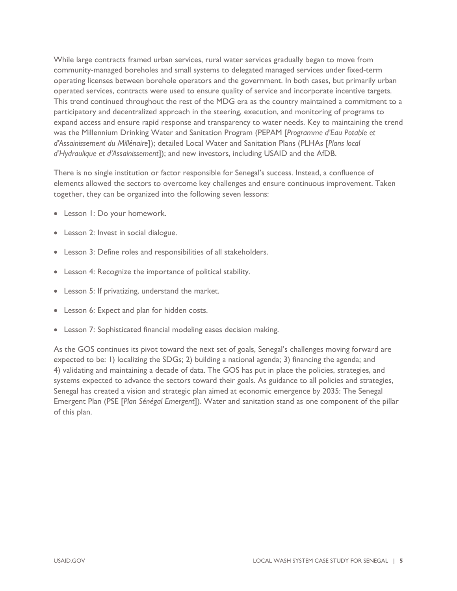While large contracts framed urban services, rural water services gradually began to move from community-managed boreholes and small systems to delegated managed services under fixed-term operating licenses between borehole operators and the government. In both cases, but primarily urban operated services, contracts were used to ensure quality of service and incorporate incentive targets. This trend continued throughout the rest of the MDG era as the country maintained a commitment to a participatory and decentralized approach in the steering, execution, and monitoring of programs to expand access and ensure rapid response and transparency to water needs. Key to maintaining the trend was the Millennium Drinking Water and Sanitation Program (PEPAM [*Programme d'Eau Potable et d'Assainissement du Millénaire*]); detailed Local Water and Sanitation Plans (PLHAs [*Plans local d'Hydraulique et d'Assainissement*]); and new investors, including USAID and the AfDB.

There is no single institution or factor responsible for Senegal's success. Instead, a confluence of elements allowed the sectors to overcome key challenges and ensure continuous improvement. Taken together, they can be organized into the following seven lessons:

- Lesson 1: Do your homework.
- Lesson 2: Invest in social dialogue.
- Lesson 3: Define roles and responsibilities of all stakeholders.
- Lesson 4: Recognize the importance of political stability.
- Lesson 5: If privatizing, understand the market.
- Lesson 6: Expect and plan for hidden costs.
- Lesson 7: Sophisticated financial modeling eases decision making.

As the GOS continues its pivot toward the next set of goals, Senegal's challenges moving forward are expected to be: 1) localizing the SDGs; 2) building a national agenda; 3) financing the agenda; and 4) validating and maintaining a decade of data. The GOS has put in place the policies, strategies, and systems expected to advance the sectors toward their goals. As guidance to all policies and strategies, Senegal has created a vision and strategic plan aimed at economic emergence by 2035: The Senegal Emergent Plan (PSE [*Plan Sénégal Emergent*]). Water and sanitation stand as one component of the pillar of this plan.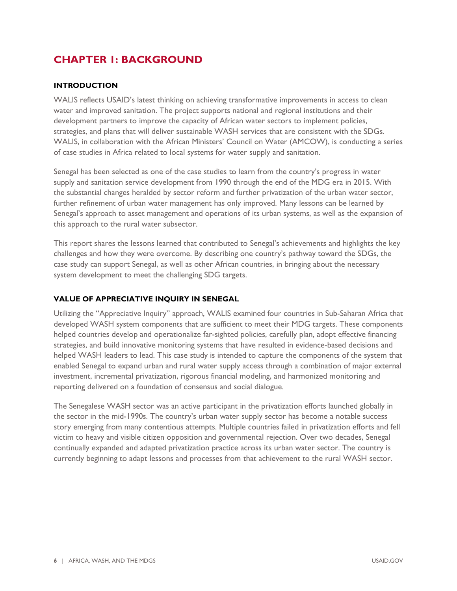# **CHAPTER 1: BACKGROUND**

### **INTRODUCTION**

WALIS reflects USAID's latest thinking on achieving transformative improvements in access to clean water and improved sanitation. The project supports national and regional institutions and their development partners to improve the capacity of African water sectors to implement policies, strategies, and plans that will deliver sustainable WASH services that are consistent with the SDGs. WALIS, in collaboration with the African Ministers' Council on Water (AMCOW), is conducting a series of case studies in Africa related to local systems for water supply and sanitation.

Senegal has been selected as one of the case studies to learn from the country's progress in water supply and sanitation service development from 1990 through the end of the MDG era in 2015. With the substantial changes heralded by sector reform and further privatization of the urban water sector, further refinement of urban water management has only improved. Many lessons can be learned by Senegal's approach to asset management and operations of its urban systems, as well as the expansion of this approach to the rural water subsector.

This report shares the lessons learned that contributed to Senegal's achievements and highlights the key challenges and how they were overcome. By describing one country's pathway toward the SDGs, the case study can support Senegal, as well as other African countries, in bringing about the necessary system development to meet the challenging SDG targets.

### **VALUE OF APPRECIATIVE INQUIRY IN SENEGAL**

Utilizing the "Appreciative Inquiry" approach, WALIS examined four countries in Sub-Saharan Africa that developed WASH system components that are sufficient to meet their MDG targets. These components helped countries develop and operationalize far-sighted policies, carefully plan, adopt effective financing strategies, and build innovative monitoring systems that have resulted in evidence-based decisions and helped WASH leaders to lead. This case study is intended to capture the components of the system that enabled Senegal to expand urban and rural water supply access through a combination of major external investment, incremental privatization, rigorous financial modeling, and harmonized monitoring and reporting delivered on a foundation of consensus and social dialogue.

The Senegalese WASH sector was an active participant in the privatization efforts launched globally in the sector in the mid-1990s. The country's urban water supply sector has become a notable success story emerging from many contentious attempts. Multiple countries failed in privatization efforts and fell victim to heavy and visible citizen opposition and governmental rejection. Over two decades, Senegal continually expanded and adapted privatization practice across its urban water sector. The country is currently beginning to adapt lessons and processes from that achievement to the rural WASH sector.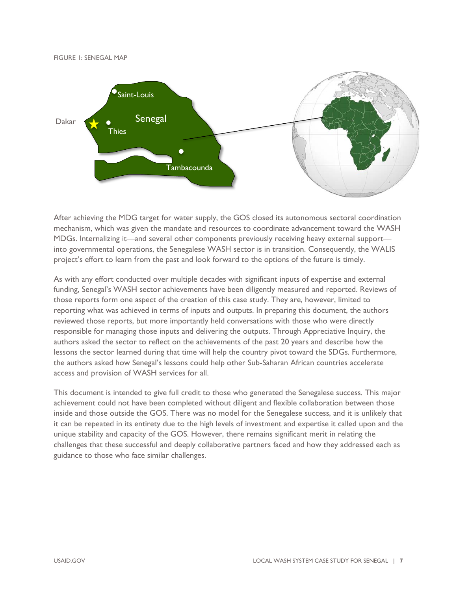FIGURE 1: SENEGAL MAP



After achieving the MDG target for water supply, the GOS closed its autonomous sectoral coordination mechanism, which was given the mandate and resources to coordinate advancement toward the WASH MDGs. Internalizing it—and several other components previously receiving heavy external support into governmental operations, the Senegalese WASH sector is in transition. Consequently, the WALIS project's effort to learn from the past and look forward to the options of the future is timely.

As with any effort conducted over multiple decades with significant inputs of expertise and external funding, Senegal's WASH sector achievements have been diligently measured and reported. Reviews of those reports form one aspect of the creation of this case study. They are, however, limited to reporting what was achieved in terms of inputs and outputs. In preparing this document, the authors reviewed those reports, but more importantly held conversations with those who were directly responsible for managing those inputs and delivering the outputs. Through Appreciative Inquiry, the authors asked the sector to reflect on the achievements of the past 20 years and describe how the lessons the sector learned during that time will help the country pivot toward the SDGs. Furthermore, the authors asked how Senegal's lessons could help other Sub-Saharan African countries accelerate access and provision of WASH services for all.

This document is intended to give full credit to those who generated the Senegalese success. This major achievement could not have been completed without diligent and flexible collaboration between those inside and those outside the GOS. There was no model for the Senegalese success, and it is unlikely that it can be repeated in its entirety due to the high levels of investment and expertise it called upon and the unique stability and capacity of the GOS. However, there remains significant merit in relating the challenges that these successful and deeply collaborative partners faced and how they addressed each as guidance to those who face similar challenges.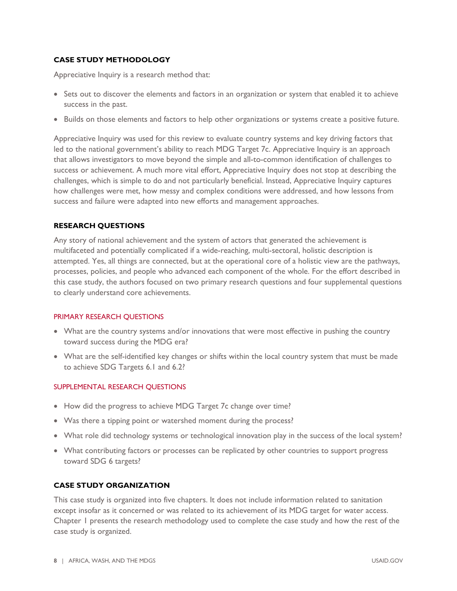### **CASE STUDY METHODOLOGY**

Appreciative Inquiry is a research method that:

- Sets out to discover the elements and factors in an organization or system that enabled it to achieve success in the past.
- Builds on those elements and factors to help other organizations or systems create a positive future.

Appreciative Inquiry was used for this review to evaluate country systems and key driving factors that led to the national government's ability to reach MDG Target 7c. Appreciative Inquiry is an approach that allows investigators to move beyond the simple and all-to-common identification of challenges to success or achievement. A much more vital effort, Appreciative Inquiry does not stop at describing the challenges, which is simple to do and not particularly beneficial. Instead, Appreciative Inquiry captures how challenges were met, how messy and complex conditions were addressed, and how lessons from success and failure were adapted into new efforts and management approaches.

### **RESEARCH QUESTIONS**

Any story of national achievement and the system of actors that generated the achievement is multifaceted and potentially complicated if a wide-reaching, multi-sectoral, holistic description is attempted. Yes, all things are connected, but at the operational core of a holistic view are the pathways, processes, policies, and people who advanced each component of the whole. For the effort described in this case study, the authors focused on two primary research questions and four supplemental questions to clearly understand core achievements.

### PRIMARY RESEARCH QUESTIONS

- What are the country systems and/or innovations that were most effective in pushing the country toward success during the MDG era?
- What are the self-identified key changes or shifts within the local country system that must be made to achieve SDG Targets 6.1 and 6.2?

### SUPPLEMENTAL RESEARCH QUESTIONS

- How did the progress to achieve MDG Target 7c change over time?
- Was there a tipping point or watershed moment during the process?
- What role did technology systems or technological innovation play in the success of the local system?
- What contributing factors or processes can be replicated by other countries to support progress toward SDG 6 targets?

### **CASE STUDY ORGANIZATION**

This case study is organized into five chapters. It does not include information related to sanitation except insofar as it concerned or was related to its achievement of its MDG target for water access. Chapter 1 presents the research methodology used to complete the case study and how the rest of the case study is organized.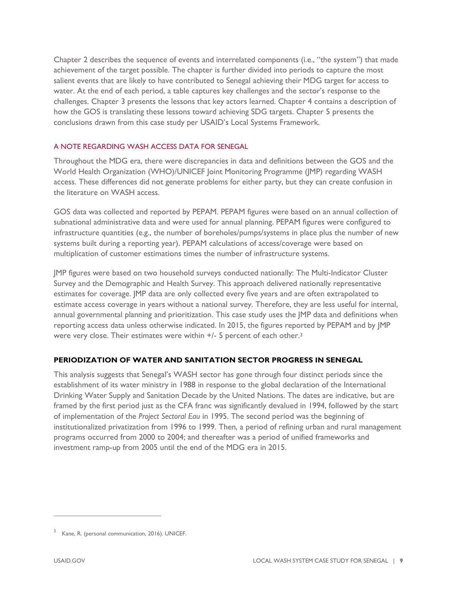Chapter 2 describes the sequence of events and interrelated components (i.e., "the system") that made achievement of the target possible. The chapter is further divided into periods to capture the most salient events that are likely to have contributed to Senegal achieving their MDG target for access to water. At the end of each period, a table captures key challenges and the sector's response to the challenges. Chapter 3 presents the lessons that key actors learned. Chapter 4 contains a description of how the GOS is translating these lessons toward achieving SDG targets. Chapter 5 presents the conclusions drawn from this case study per USAID's Local Systems Framework.

### A NOTE REGARDING WASH ACCESS DATA FOR SENEGAL

Throughout the MDG era, there were discrepancies in data and definitions between the GOS and the World Health Organization (WHO)/UNICEF Joint Monitoring Programme (JMP) regarding WASH access. These differences did not generate problems for either party, but they can create confusion in the literature on WASH access.

GOS data was collected and reported by PEPAM. PEPAM figures were based on an annual collection of subnational administrative data and were used for annual planning. PEPAM figures were configured to infrastructure quantities (e.g., the number of boreholes/pumps/systems in place plus the number of new systems built during a reporting year). PEPAM calculations of access/coverage were based on multiplication of customer estimations times the number of infrastructure systems.

JMP figures were based on two household surveys conducted nationally: The Multi-Indicator Cluster Survey and the Demographic and Health Survey. This approach delivered nationally representative estimates for coverage. JMP data are only collected every five years and are often extrapolated to estimate access coverage in years without a national survey. Therefore, they are less useful for internal, annual governmental planning and prioritization. This case study uses the JMP data and definitions when reporting access data unless otherwise indicated. In 2015, the figures reported by PEPAM and by JMP were very close. Their estimates were within  $+/-$  5 percent of each other.<sup>[3](#page-13-0)</sup>

### **PERIODIZATION OF WATER AND SANITATION SECTOR PROGRESS IN SENEGAL**

This analysis suggests that Senegal's WASH sector has gone through four distinct periods since the establishment of its water ministry in 1988 in response to the global declaration of the International Drinking Water Supply and Sanitation Decade by the United Nations. The dates are indicative, but are framed by the first period just as the CFA franc was significantly devalued in 1994, followed by the start of implementation of the *Project Sectoral Eau* in 1995. The second period was the beginning of institutionalized privatization from 1996 to 1999. Then, a period of refining urban and rural management programs occurred from 2000 to 2004; and thereafter was a period of unified frameworks and investment ramp-up from 2005 until the end of the MDG era in 2015.

<span id="page-13-0"></span>Kane, R. (personal communication, 2016). UNICEF.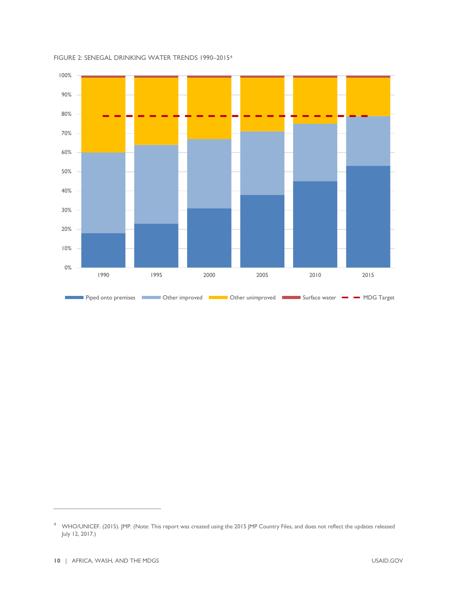

### FIGURE 2: SENEGAL DRINKING WATER TRENDS 1990–2015[4](#page-14-0)

<span id="page-14-0"></span><sup>4</sup> WHO/UNICEF. (2015). JMP. (Note: This report was created using the 2015 JMP Country Files, and does not reflect the updates released July 12, 2017.)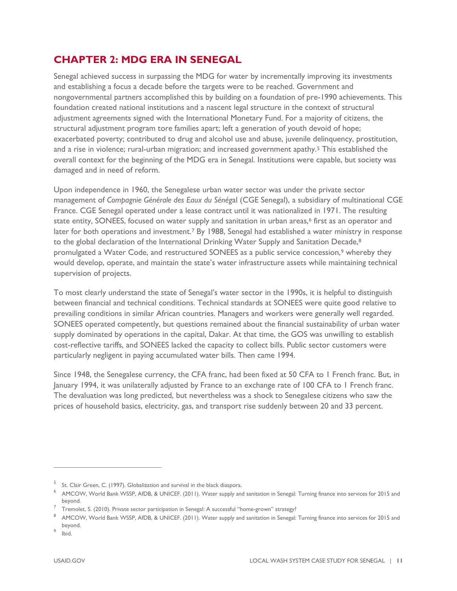### **CHAPTER 2: MDG ERA IN SENEGAL**

Senegal achieved success in surpassing the MDG for water by incrementally improving its investments and establishing a focus a decade before the targets were to be reached. Government and nongovernmental partners accomplished this by building on a foundation of pre-1990 achievements. This foundation created national institutions and a nascent legal structure in the context of structural adjustment agreements signed with the International Monetary Fund. For a majority of citizens, the structural adjustment program tore families apart; left a generation of youth devoid of hope; exacerbated poverty; contributed to drug and alcohol use and abuse, juvenile delinquency, prostitution, and a rise in violence; rural-urban migration; and increased government apathy.[5](#page-15-0) This established the overall context for the beginning of the MDG era in Senegal. Institutions were capable, but society was damaged and in need of reform.

Upon independence in 1960, the Senegalese urban water sector was under the private sector management of *Compagnie Générale des Eaux du Sénég*al (CGE Senegal), a subsidiary of multinational CGE France. CGE Senegal operated under a lease contract until it was nationalized in 1971. The resulting state entity, SONEES, focused on water supply and sanitation in urban areas,<sup>[6](#page-15-1)</sup> first as an operator and later for both operations and investment.[7](#page-15-2) By 1988, Senegal had established a water ministry in response to the global declaration of the International Drinking Water Supply and Sanitation Decade,<sup>[8](#page-15-3)</sup> promulgated a Water Code, and restructured SONEES as a public service concession,<sup>[9](#page-15-4)</sup> whereby they would develop, operate, and maintain the state's water infrastructure assets while maintaining technical supervision of projects.

To most clearly understand the state of Senegal's water sector in the 1990s, it is helpful to distinguish between financial and technical conditions. Technical standards at SONEES were quite good relative to prevailing conditions in similar African countries. Managers and workers were generally well regarded. SONEES operated competently, but questions remained about the financial sustainability of urban water supply dominated by operations in the capital, Dakar. At that time, the GOS was unwilling to establish cost-reflective tariffs, and SONEES lacked the capacity to collect bills. Public sector customers were particularly negligent in paying accumulated water bills. Then came 1994.

Since 1948, the Senegalese currency, the CFA franc, had been fixed at 50 CFA to 1 French franc. But, in January 1994, it was unilaterally adjusted by France to an exchange rate of 100 CFA to 1 French franc. The devaluation was long predicted, but nevertheless was a shock to Senegalese citizens who saw the prices of household basics, electricity, gas, and transport rise suddenly between 20 and 33 percent.

<span id="page-15-0"></span><sup>&</sup>lt;sup>5</sup> St. Clair Green, C. (1997). Globalization and survival in the black diaspora.

<span id="page-15-1"></span><sup>6</sup> AMCOW, World Bank WSSP, AfDB, & UNICEF. (2011). Water supply and sanitation in Senegal: Turning finance into services for 2015 and beyond.

<span id="page-15-2"></span> $^7$   $\,$  Tremolet, S. (2010). Private sector participation in Senegal: A successful "home-grown" strategy?

<span id="page-15-3"></span><sup>8</sup> AMCOW, World Bank WSSP, AfDB, & UNICEF. (2011). Water supply and sanitation in Senegal: Turning finance into services for 2015 and beyond.

<span id="page-15-4"></span><sup>9</sup> Ibid.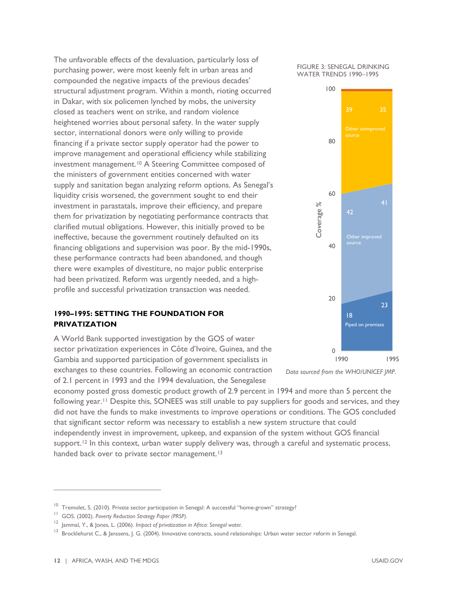The unfavorable effects of the devaluation, particularly loss of purchasing power, were most keenly felt in urban areas and compounded the negative impacts of the previous decades' structural adjustment program. Within a month, rioting occurred in Dakar, with six policemen lynched by mobs, the university closed as teachers went on strike, and random violence heightened worries about personal safety. In the water supply sector, international donors were only willing to provide financing if a private sector supply operator had the power to improve management and operational efficiency while stabilizing investment management.<sup>[10](#page-16-0)</sup> A Steering Committee composed of the ministers of government entities concerned with water supply and sanitation began analyzing reform options. As Senegal's liquidity crisis worsened, the government sought to end their investment in parastatals, improve their efficiency, and prepare them for privatization by negotiating performance contracts that clarified mutual obligations. However, this initially proved to be ineffective, because the government routinely defaulted on its financing obligations and supervision was poor. By the mid-1990s, these performance contracts had been abandoned, and though there were examples of divestiture, no major public enterprise had been privatized. Reform was urgently needed, and a highprofile and successful privatization transaction was needed.

### **1990–1995: SETTING THE FOUNDATION FOR PRIVATIZATION**

A World Bank supported investigation by the GOS of water sector privatization experiences in Côte d'Ivoire, Guinea, and the Gambia and supported participation of government specialists in exchanges to these countries. Following an economic contraction

of 2.1 percent in 1993 and the 1994 devaluation, the Senegalese

economy posted gross domestic product growth of 2.9 percent in 1994 and more than 5 percent the following year.<sup>[11](#page-16-1)</sup> Despite this, SONEES was still unable to pay suppliers for goods and services, and they did not have the funds to make investments to improve operations or conditions. The GOS concluded that significant sector reform was necessary to establish a new system structure that could independently invest in improvement, upkeep, and expansion of the system without GOS financial support.<sup>[12](#page-16-2)</sup> In this context, urban water supply delivery was, through a careful and systematic process, handed back over to private sector management.<sup>[13](#page-16-3)</sup>



*Data sourced from the WHO/UNICEF JMP.*

<span id="page-16-0"></span><sup>&</sup>lt;sup>10</sup> Tremolet, S. (2010). Private sector participation in Senegal: A successful "home-grown" strategy?

<span id="page-16-1"></span><sup>11</sup> GOS. (2002). *Poverty Reduction Strategy Paper (PRSP)*.

<span id="page-16-2"></span><sup>&</sup>lt;sup>12</sup> Iammal, Y., & Jones, L. (2006). *Impact of privatization in Africa: Senegal water*.

<span id="page-16-3"></span><sup>&</sup>lt;sup>13</sup> Brocklehurst C., & Janssens, J. G. (2004). Innovative contracts, sound relationships: Urban water sector reform in Senegal.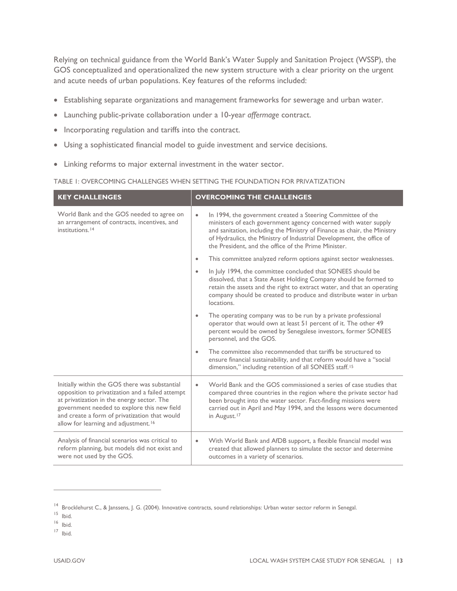Relying on technical guidance from the World Bank's Water Supply and Sanitation Project (WSSP), the GOS conceptualized and operationalized the new system structure with a clear priority on the urgent and acute needs of urban populations. Key features of the reforms included:

- Establishing separate organizations and management frameworks for sewerage and urban water.
- Launching public-private collaboration under a 10-year *affermage* contract.
- Incorporating regulation and tariffs into the contract.
- Using a sophisticated financial model to guide investment and service decisions.
- Linking reforms to major external investment in the water sector.

|  | TABLE 1: OVERCOMING CHALLENGES WHEN SETTING THE FOUNDATION FOR PRIVATIZATION |
|--|------------------------------------------------------------------------------|
|  |                                                                              |

| <b>KEY CHALLENGES</b>                                                                                                                                                                                                                                                                                | <b>OVERCOMING THE CHALLENGES</b>                                                                                                                                                                                                                                                                                                                        |
|------------------------------------------------------------------------------------------------------------------------------------------------------------------------------------------------------------------------------------------------------------------------------------------------------|---------------------------------------------------------------------------------------------------------------------------------------------------------------------------------------------------------------------------------------------------------------------------------------------------------------------------------------------------------|
| World Bank and the GOS needed to agree on<br>an arrangement of contracts, incentives, and<br>institutions. <sup>14</sup>                                                                                                                                                                             | In 1994, the government created a Steering Committee of the<br>$\bullet$<br>ministers of each government agency concerned with water supply<br>and sanitation, including the Ministry of Finance as chair, the Ministry<br>of Hydraulics, the Ministry of Industrial Development, the office of<br>the President, and the office of the Prime Minister. |
|                                                                                                                                                                                                                                                                                                      | This committee analyzed reform options against sector weaknesses.                                                                                                                                                                                                                                                                                       |
|                                                                                                                                                                                                                                                                                                      | In July 1994, the committee concluded that SONEES should be<br>dissolved, that a State Asset Holding Company should be formed to<br>retain the assets and the right to extract water, and that an operating<br>company should be created to produce and distribute water in urban<br>locations.                                                         |
|                                                                                                                                                                                                                                                                                                      | The operating company was to be run by a private professional<br>operator that would own at least 51 percent of it. The other 49<br>percent would be owned by Senegalese investors, former SONEES<br>personnel, and the GOS.                                                                                                                            |
|                                                                                                                                                                                                                                                                                                      | The committee also recommended that tariffs be structured to<br>ensure financial sustainability, and that reform would have a "social<br>dimension," including retention of all SONEES staff. <sup>15</sup>                                                                                                                                             |
| Initially within the GOS there was substantial<br>opposition to privatization and a failed attempt<br>at privatization in the energy sector. The<br>government needed to explore this new field<br>and create a form of privatization that would<br>allow for learning and adjustment. <sup>16</sup> | World Bank and the GOS commissioned a series of case studies that<br>compared three countries in the region where the private sector had<br>been brought into the water sector. Fact-finding missions were<br>carried out in April and May 1994, and the lessons were documented<br>in August. <sup>17</sup>                                            |
| Analysis of financial scenarios was critical to<br>reform planning, but models did not exist and<br>were not used by the GOS.                                                                                                                                                                        | With World Bank and AfDB support, a flexible financial model was<br>$\bullet$<br>created that allowed planners to simulate the sector and determine<br>outcomes in a variety of scenarios.                                                                                                                                                              |

- <span id="page-17-2"></span><sup>16</sup> Ibid.
- <span id="page-17-3"></span><sup>17</sup> Ibid.

<sup>&</sup>lt;sup>14</sup> Brocklehurst C., & Janssens, J. G. (2004). Innovative contracts, sound relationships: Urban water sector reform in Senegal.

<span id="page-17-1"></span><span id="page-17-0"></span><sup>15</sup> Ibid.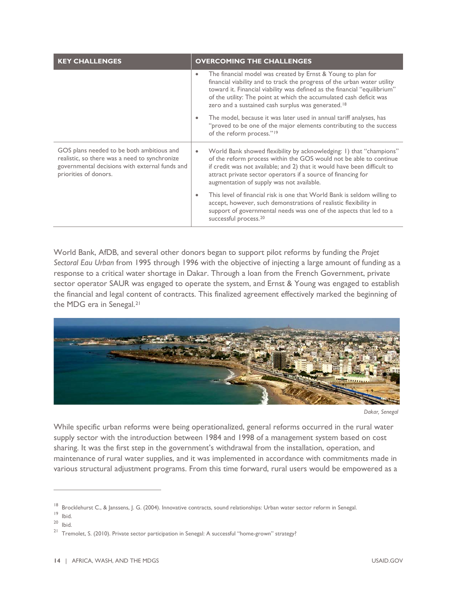| <b>KEY CHALLENGES</b>                                                                                                                                                 | <b>OVERCOMING THE CHALLENGES</b>                                                                                                                                                                                                                                                                                                                                            |  |  |
|-----------------------------------------------------------------------------------------------------------------------------------------------------------------------|-----------------------------------------------------------------------------------------------------------------------------------------------------------------------------------------------------------------------------------------------------------------------------------------------------------------------------------------------------------------------------|--|--|
|                                                                                                                                                                       | The financial model was created by Ernst & Young to plan for<br>$\bullet$<br>financial viability and to track the progress of the urban water utility<br>toward it. Financial viability was defined as the financial "equilibrium"<br>of the utility: The point at which the accumulated cash deficit was<br>zero and a sustained cash surplus was generated. <sup>18</sup> |  |  |
|                                                                                                                                                                       | The model, because it was later used in annual tariff analyses, has<br>"proved to be one of the major elements contributing to the success<br>of the reform process." <sup>19</sup>                                                                                                                                                                                         |  |  |
| GOS plans needed to be both ambitious and<br>realistic, so there was a need to synchronize<br>governmental decisions with external funds and<br>priorities of donors. | World Bank showed flexibility by acknowledging: 1) that "champions"<br>of the reform process within the GOS would not be able to continue<br>if credit was not available; and 2) that it would have been difficult to<br>attract private sector operators if a source of financing for<br>augmentation of supply was not available.                                         |  |  |
|                                                                                                                                                                       | This level of financial risk is one that World Bank is seldom willing to<br>accept, however, such demonstrations of realistic flexibility in<br>support of governmental needs was one of the aspects that led to a<br>successful process. <sup>20</sup>                                                                                                                     |  |  |

World Bank, AfDB, and several other donors began to support pilot reforms by funding the *Projet Sectoral Eau Urban* from 1995 through 1996 with the objective of injecting a large amount of funding as a response to a critical water shortage in Dakar. Through a loan from the French Government, private sector operator SAUR was engaged to operate the system, and Ernst & Young was engaged to establish the financial and legal content of contracts. This finalized agreement effectively marked the beginning of the MDG era in Senegal.[21](#page-18-3)



*Dakar, Senegal*

While specific urban reforms were being operationalized, general reforms occurred in the rural water supply sector with the introduction between 1984 and 1998 of a management system based on cost sharing. It was the first step in the government's withdrawal from the installation, operation, and maintenance of rural water supplies, and it was implemented in accordance with commitments made in various structural adjustment programs. From this time forward, rural users would be empowered as a

<span id="page-18-0"></span><sup>&</sup>lt;sup>18</sup> Brocklehurst C., & Janssens, J. G. (2004). Innovative contracts, sound relationships: Urban water sector reform in Senegal.

<sup>19</sup> Ibid.

<span id="page-18-2"></span><span id="page-18-1"></span><sup>20</sup> Ibid.

<span id="page-18-3"></span><sup>&</sup>lt;sup>21</sup> Tremolet, S. (2010). Private sector participation in Senegal: A successful "home-grown" strategy?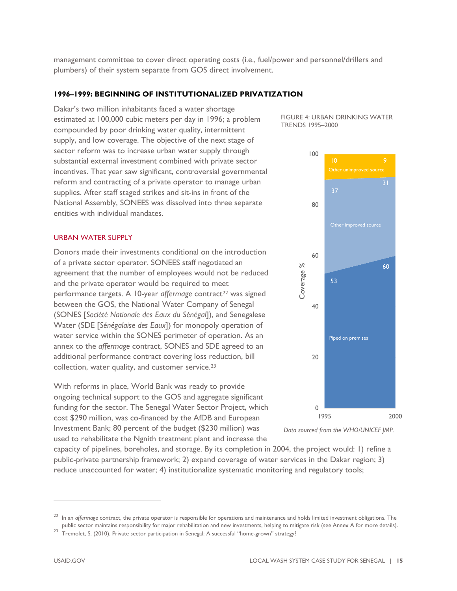management committee to cover direct operating costs (i.e., fuel/power and personnel/drillers and plumbers) of their system separate from GOS direct involvement.

### **1996–1999: BEGINNING OF INSTITUTIONALIZED PRIVATIZATION**

Dakar's two million inhabitants faced a water shortage estimated at 100,000 cubic meters per day in 1996; a problem compounded by poor drinking water quality, intermittent supply, and low coverage. The objective of the next stage of sector reform was to increase urban water supply through substantial external investment combined with private sector incentives. That year saw significant, controversial governmental reform and contracting of a private operator to manage urban supplies. After staff staged strikes and sit-ins in front of the National Assembly, SONEES was dissolved into three separate entities with individual mandates.

#### URBAN WATER SUPPLY

Donors made their investments conditional on the introduction of a private sector operator. SONEES staff negotiated an agreement that the number of employees would not be reduced and the private operator would be required to meet performance targets. A 10-year *affermage* contract<sup>[22](#page-19-0)</sup> was signed between the GOS, the National Water Company of Senegal (SONES [*Société Nationale des Eaux du Sénégal*]), and Senegalese Water (SDE [*Sénégalaise des Eaux*]) for monopoly operation of water service within the SONES perimeter of operation. As an annex to the *affermage* contract, SONES and SDE agreed to an additional performance contract covering loss reduction, bill collection, water quality, and customer service.[23](#page-19-1)

With reforms in place, World Bank was ready to provide ongoing technical support to the GOS and aggregate significant funding for the sector. The Senegal Water Sector Project, which cost \$290 million, was co-financed by the AfDB and European Investment Bank; 80 percent of the budget (\$230 million) was used to rehabilitate the Ngnith treatment plant and increase the

FIGURE 4: URBAN DRINKING WATER TRENDS 1995–2000





capacity of pipelines, boreholes, and storage. By its completion in 2004, the project would: 1) refine a public-private partnership framework; 2) expand coverage of water services in the Dakar region; 3) reduce unaccounted for water; 4) institutionalize systematic monitoring and regulatory tools;

<span id="page-19-0"></span><sup>22</sup> In an *affermage* contract, the private operator is responsible for operations and maintenance and holds limited investment obligations. The public sector maintains responsibility for major rehabilitation and new investments, helping to mitigate risk (see Annex A for more details).

<span id="page-19-1"></span><sup>&</sup>lt;sup>23</sup> Tremolet, S. (2010). Private sector participation in Senegal: A successful "home-grown" strategy?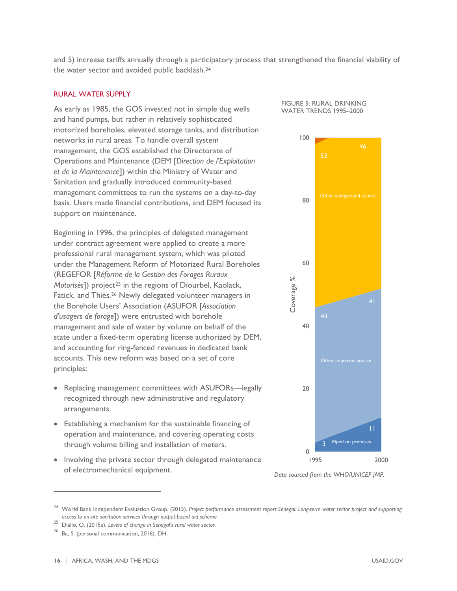and 5) increase tariffs annually through a participatory process that strengthened the financial viability of the water sector and avoided public backlash.[24](#page-20-0)

### RURAL WATER SUPPLY

As early as 1985, the GOS invested not in simple dug wells and hand pumps, but rather in relatively sophisticated motorized boreholes, elevated storage tanks, and distribution networks in rural areas. To handle overall system management, the GOS established the Directorate of Operations and Maintenance (DEM [*Direction de l'Exploitation et de la Maintenance*]) within the Ministry of Water and Sanitation and gradually introduced community-based management committees to run the systems on a day-to-day basis. Users made financial contributions, and DEM focused its support on maintenance.

Beginning in 1996, the principles of delegated management under contract agreement were applied to create a more professional rural management system, which was piloted under the Management Reform of Motorized Rural Boreholes (REGEFOR [*Réforme de la Gestion des Forages Ruraux Motorisés*]) project<sup>[25](#page-20-1)</sup> in the regions of Diourbel, Kaolack, Fatick, and Thiès.[26](#page-20-2) Newly delegated volunteer managers in the Borehole Users' Association (ASUFOR [*Association d'usagers de forage*]) were entrusted with borehole management and sale of water by volume on behalf of the state under a fixed-term operating license authorized by DEM, and accounting for ring-fenced revenues in dedicated bank accounts. This new reform was based on a set of core principles:

- Replacing management committees with ASUFORs—legally recognized through new administrative and regulatory arrangements.
- Establishing a mechanism for the sustainable financing of operation and maintenance, and covering operating costs through volume billing and installation of meters.
- Involving the private sector through delegated maintenance of electromechanical equipment.





*Data sourced from the WHO/UNICEF JMP.*

<span id="page-20-0"></span><sup>24</sup> World Bank Independent Evaluation Group. (2015). *Project performance assessment report Senegal: Long-term water sector project and supporting access to on-site sanitation services through output-based aid scheme*

<span id="page-20-1"></span><sup>25</sup> Diallo*,* O. (2015a). *Levers of change in Senegal's rural water sector*.

<span id="page-20-2"></span><sup>26</sup> Ba, S. (personal communication, 2016). DH.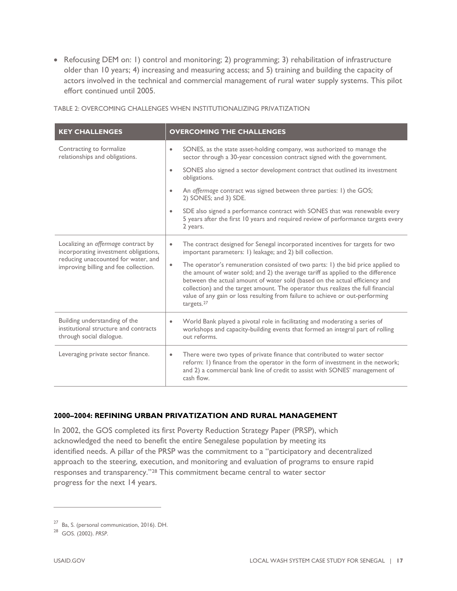• Refocusing DEM on: 1) control and monitoring; 2) programming; 3) rehabilitation of infrastructure older than 10 years; 4) increasing and measuring access; and 5) training and building the capacity of actors involved in the technical and commercial management of rural water supply systems. This pilot effort continued until 2005.

| <b>KEY CHALLENGES</b>                                                                                                                                        | <b>OVERCOMING THE CHALLENGES</b>                                                                                                                                                                                                                                                                                                                                                                                                                               |
|--------------------------------------------------------------------------------------------------------------------------------------------------------------|----------------------------------------------------------------------------------------------------------------------------------------------------------------------------------------------------------------------------------------------------------------------------------------------------------------------------------------------------------------------------------------------------------------------------------------------------------------|
| Contracting to formalize<br>relationships and obligations.                                                                                                   | SONES, as the state asset-holding company, was authorized to manage the<br>$\bullet$<br>sector through a 30-year concession contract signed with the government.                                                                                                                                                                                                                                                                                               |
|                                                                                                                                                              | SONES also signed a sector development contract that outlined its investment<br>obligations.                                                                                                                                                                                                                                                                                                                                                                   |
|                                                                                                                                                              | An affermage contract was signed between three parties: 1) the GOS;<br>2) SONES; and 3) SDE.                                                                                                                                                                                                                                                                                                                                                                   |
|                                                                                                                                                              | SDE also signed a performance contract with SONES that was renewable every<br>5 years after the first 10 years and required review of performance targets every<br>2 years.                                                                                                                                                                                                                                                                                    |
| Localizing an affermage contract by<br>incorporating investment obligations,<br>reducing unaccounted for water, and<br>improving billing and fee collection. | The contract designed for Senegal incorporated incentives for targets for two<br>$\bullet$<br>important parameters: 1) leakage; and 2) bill collection.                                                                                                                                                                                                                                                                                                        |
|                                                                                                                                                              | The operator's remuneration consisted of two parts: 1) the bid price applied to<br>$\bullet$<br>the amount of water sold; and 2) the average tariff as applied to the difference<br>between the actual amount of water sold (based on the actual efficiency and<br>collection) and the target amount. The operator thus realizes the full financial<br>value of any gain or loss resulting from failure to achieve or out-performing<br>targets. <sup>27</sup> |
| Building understanding of the<br>institutional structure and contracts<br>through social dialogue.                                                           | World Bank played a pivotal role in facilitating and moderating a series of<br>$\bullet$<br>workshops and capacity-building events that formed an integral part of rolling<br>out reforms.                                                                                                                                                                                                                                                                     |
| Leveraging private sector finance.                                                                                                                           | There were two types of private finance that contributed to water sector<br>$\bullet$<br>reform: 1) finance from the operator in the form of investment in the network;<br>and 2) a commercial bank line of credit to assist with SONES' management of<br>cash flow.                                                                                                                                                                                           |

TABLE 2: OVERCOMING CHALLENGES WHEN INSTITUTIONALIZING PRIVATIZATION

### **2000–2004: REFINING URBAN PRIVATIZATION AND RURAL MANAGEMENT**

In 2002, the GOS completed its first Poverty Reduction Strategy Paper (PRSP), which acknowledged the need to benefit the entire Senegalese population by meeting its identified needs. A pillar of the PRSP was the commitment to a "participatory and decentralized approach to the steering, execution, and monitoring and evaluation of programs to ensure rapid responses and transparency."[28](#page-21-0) This commitment became central to water sector progress for the next 14 years.

<span id="page-21-1"></span><sup>27</sup> Ba, S. (personal communication, 2016). DH.

<span id="page-21-0"></span><sup>28</sup> GOS. (2002). *PRSP*.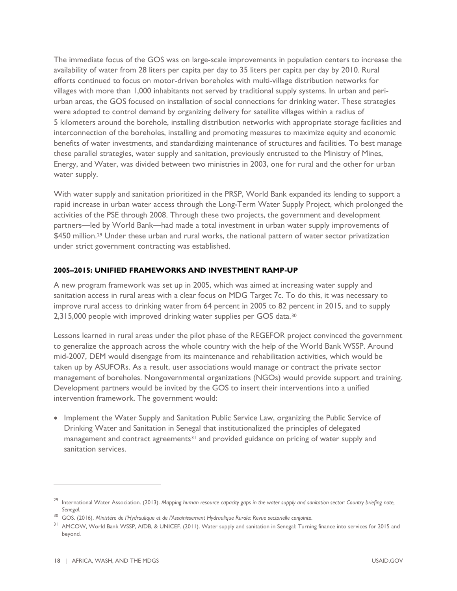The immediate focus of the GOS was on large-scale improvements in population centers to increase the availability of water from 28 liters per capita per day to 35 liters per capita per day by 2010. Rural efforts continued to focus on motor-driven boreholes with multi-village distribution networks for villages with more than 1,000 inhabitants not served by traditional supply systems. In urban and periurban areas, the GOS focused on installation of social connections for drinking water. These strategies were adopted to control demand by organizing delivery for satellite villages within a radius of 5 kilometers around the borehole, installing distribution networks with appropriate storage facilities and interconnection of the boreholes, installing and promoting measures to maximize equity and economic benefits of water investments, and standardizing maintenance of structures and facilities. To best manage these parallel strategies, water supply and sanitation, previously entrusted to the Ministry of Mines, Energy, and Water, was divided between two ministries in 2003, one for rural and the other for urban water supply.

With water supply and sanitation prioritized in the PRSP, World Bank expanded its lending to support a rapid increase in urban water access through the Long-Term Water Supply Project, which prolonged the activities of the PSE through 2008. Through these two projects, the government and development partners—led by World Bank—had made a total investment in urban water supply improvements of \$450 million.<sup>[29](#page-22-0)</sup> Under these urban and rural works, the national pattern of water sector privatization under strict government contracting was established.

### **2005–2015: UNIFIED FRAMEWORKS AND INVESTMENT RAMP-UP**

A new program framework was set up in 2005, which was aimed at increasing water supply and sanitation access in rural areas with a clear focus on MDG Target 7c. To do this, it was necessary to improve rural access to drinking water from 64 percent in 2005 to 82 percent in 2015, and to supply 2,315,000 people with improved drinking water supplies per GOS data.[30](#page-22-1)

Lessons learned in rural areas under the pilot phase of the REGEFOR project convinced the government to generalize the approach across the whole country with the help of the World Bank WSSP. Around mid-2007, DEM would disengage from its maintenance and rehabilitation activities, which would be taken up by ASUFORs. As a result, user associations would manage or contract the private sector management of boreholes. Nongovernmental organizations (NGOs) would provide support and training. Development partners would be invited by the GOS to insert their interventions into a unified intervention framework. The government would:

• Implement the Water Supply and Sanitation Public Service Law, organizing the Public Service of Drinking Water and Sanitation in Senegal that institutionalized the principles of delegated management and contract agreements<sup>31</sup> and provided guidance on pricing of water supply and sanitation services.

<span id="page-22-0"></span><sup>29</sup> International Water Association. (2013). *Mapping human resource capacity gaps in the water supply and sanitation sector: Country briefing note, Senegal*.

<span id="page-22-1"></span><sup>30</sup> GOS. (2016). *Ministére de l'Hydraulique et de l'Assainissement Hydraulique Rurale: Revue sectorielle conjointe*.

<span id="page-22-2"></span><sup>&</sup>lt;sup>31</sup> AMCOW, World Bank WSSP, AfDB, & UNICEF. (2011). Water supply and sanitation in Senegal: Turning finance into services for 2015 and beyond.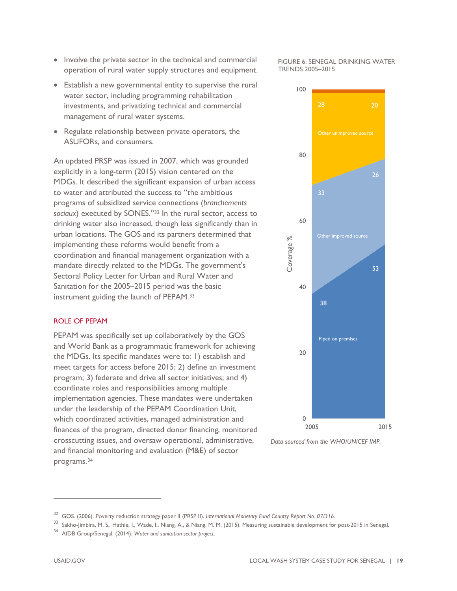$\overline{a}$ 

- Involve the private sector in the technical and commercial operation of rural water supply structures and equipment.
- Establish a new governmental entity to supervise the rural water sector, including programming rehabilitation investments, and privatizing technical and commercial management of rural water systems.
- Regulate relationship between private operators, the ASUFORs, and consumers.

An updated PRSP was issued in 2007, which was grounded explicitly in a long-term (2015) vision centered on the MDGs. It described the significant expansion of urban access to water and attributed the success to "the ambitious programs of subsidized service connections (*branchements sociaux*) executed by SONES."[32](#page-23-0) In the rural sector, access to drinking water also increased, though less significantly than in urban locations. The GOS and its partners determined that implementing these reforms would benefit from a coordination and financial management organization with a mandate directly related to the MDGs. The government's Sectoral Policy Letter for Urban and Rural Water and Sanitation for the 2005–2015 period was the basic instrument guiding the launch of PEPAM.[33](#page-23-1)

#### ROLE OF PEPAM

PEPAM was specifically set up collaboratively by the GOS and World Bank as a programmatic framework for achieving the MDGs. Its specific mandates were to: 1) establish and meet targets for access before 2015; 2) define an investment program; 3) federate and drive all sector initiatives; and 4) coordinate roles and responsibilities among multiple implementation agencies. These mandates were undertaken under the leadership of the PEPAM Coordination Unit, which coordinated activities, managed administration and finances of the program, directed donor financing, monitored crosscutting issues, and oversaw operational, administrative, and financial monitoring and evaluation (M&E) of sector programs.[34](#page-23-2)

FIGURE 6: SENEGAL DRINKING WATER TRENDS 2005–2015



*Data sourced from the WHO/UNICEF JMP.*

<span id="page-23-0"></span><sup>32</sup> GOS. (2006). Poverty reduction strategy paper II (PRSP II). *International Monetary Fund Country Report No. 07/316*.

<span id="page-23-1"></span><sup>33</sup> Sakho-Jimbira, M. S., Hathie, I., Wade, I., Niang, A., & Niang, M. M. (2015). Measuring sustainable development for post-2015 in Senegal.

<span id="page-23-2"></span><sup>34</sup> AfDB Group/Senegal. (2014). *Water and sanitation sector project*.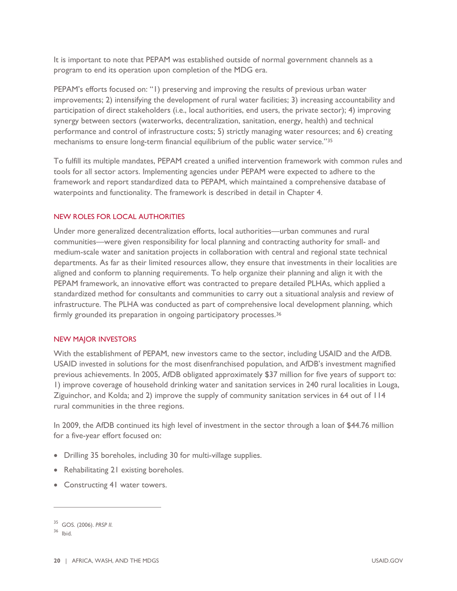It is important to note that PEPAM was established outside of normal government channels as a program to end its operation upon completion of the MDG era.

PEPAM's efforts focused on: "1) preserving and improving the results of previous urban water improvements; 2) intensifying the development of rural water facilities; 3) increasing accountability and participation of direct stakeholders (i.e., local authorities, end users, the private sector); 4) improving synergy between sectors (waterworks, decentralization, sanitation, energy, health) and technical performance and control of infrastructure costs; 5) strictly managing water resources; and 6) creating mechanisms to ensure long-term financial equilibrium of the public water service."[35](#page-24-0)

To fulfill its multiple mandates, PEPAM created a unified intervention framework with common rules and tools for all sector actors. Implementing agencies under PEPAM were expected to adhere to the framework and report standardized data to PEPAM, which maintained a comprehensive database of waterpoints and functionality. The framework is described in detail in Chapter 4.

#### NEW ROLES FOR LOCAL AUTHORITIES

Under more generalized decentralization efforts, local authorities—urban communes and rural communities—were given responsibility for local planning and contracting authority for small- and medium-scale water and sanitation projects in collaboration with central and regional state technical departments. As far as their limited resources allow, they ensure that investments in their localities are aligned and conform to planning requirements. To help organize their planning and align it with the PEPAM framework, an innovative effort was contracted to prepare detailed PLHAs, which applied a standardized method for consultants and communities to carry out a situational analysis and review of infrastructure. The PLHA was conducted as part of comprehensive local development planning, which firmly grounded its preparation in ongoing participatory processes.<sup>[36](#page-24-1)</sup>

#### NEW MAJOR INVESTORS

With the establishment of PEPAM, new investors came to the sector, including USAID and the AfDB. USAID invested in solutions for the most disenfranchised population, and AfDB's investment magnified previous achievements. In 2005, AfDB obligated approximately \$37 million for five years of support to: 1) improve coverage of household drinking water and sanitation services in 240 rural localities in Louga, Ziguinchor, and Kolda; and 2) improve the supply of community sanitation services in 64 out of 114 rural communities in the three regions.

In 2009, the AfDB continued its high level of investment in the sector through a loan of \$44.76 million for a five-year effort focused on:

- Drilling 35 boreholes, including 30 for multi-village supplies.
- Rehabilitating 21 existing boreholes.
- Constructing 41 water towers.

<span id="page-24-0"></span><sup>35</sup> GOS. (2006). *PRSP II*.

<span id="page-24-1"></span> $36$  Ibid.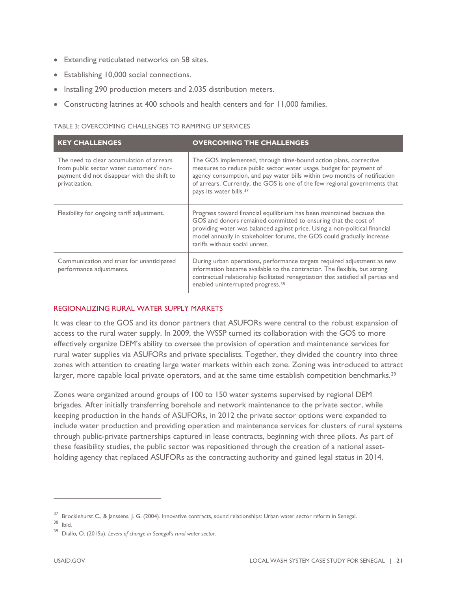- Extending reticulated networks on 58 sites.
- Establishing 10,000 social connections.
- Installing 290 production meters and 2,035 distribution meters.
- Constructing latrines at 400 schools and health centers and for 11,000 families.

#### TABLE 3: OVERCOMING CHALLENGES TO RAMPING UP SERVICES

| <b>KEY CHALLENGES</b>                                                                                                                                  | <b>OVERCOMING THE CHALLENGES</b>                                                                                                                                                                                                                                                                                                          |
|--------------------------------------------------------------------------------------------------------------------------------------------------------|-------------------------------------------------------------------------------------------------------------------------------------------------------------------------------------------------------------------------------------------------------------------------------------------------------------------------------------------|
| The need to clear accumulation of arrears<br>from public sector water customers' non-<br>payment did not disappear with the shift to<br>privatization. | The GOS implemented, through time-bound action plans, corrective<br>measures to reduce public sector water usage, budget for payment of<br>agency consumption, and pay water bills within two months of notification<br>of arrears. Currently, the GOS is one of the few regional governments that<br>pays its water bills. <sup>37</sup> |
| Flexibility for ongoing tariff adjustment.                                                                                                             | Progress toward financial equilibrium has been maintained because the<br>GOS and donors remained committed to ensuring that the cost of<br>providing water was balanced against price. Using a non-political financial<br>model annually in stakeholder forums, the GOS could gradually increase<br>tariffs without social unrest.        |
| Communication and trust for unanticipated<br>performance adjustments.                                                                                  | During urban operations, performance targets required adjustment as new<br>information became available to the contractor. The flexible, but strong<br>contractual relationship facilitated renegotiation that satisfied all parties and<br>enabled uninterrupted progress. <sup>38</sup>                                                 |

#### REGIONALIZING RURAL WATER SUPPLY MARKETS

It was clear to the GOS and its donor partners that ASUFORs were central to the robust expansion of access to the rural water supply. In 2009, the WSSP turned its collaboration with the GOS to more effectively organize DEM's ability to oversee the provision of operation and maintenance services for rural water supplies via ASUFORs and private specialists. Together, they divided the country into three zones with attention to creating large water markets within each zone. Zoning was introduced to attract larger, more capable local private operators, and at the same time establish competition benchmarks.<sup>[39](#page-25-0)</sup>

Zones were organized around groups of 100 to 150 water systems supervised by regional DEM brigades. After initially transferring borehole and network maintenance to the private sector, while keeping production in the hands of ASUFORs, in 2012 the private sector options were expanded to include water production and providing operation and maintenance services for clusters of rural systems through public-private partnerships captured in lease contracts, beginning with three pilots. As part of these feasibility studies, the public sector was repositioned through the creation of a national assetholding agency that replaced ASUFORs as the contracting authority and gained legal status in 2014.

<sup>&</sup>lt;sup>37</sup> Brocklehurst C., & Janssens, J. G. (2004). Innovative contracts, sound relationships: Urban water sector reform in Senegal.

<span id="page-25-2"></span><span id="page-25-1"></span><sup>38</sup> Ibid.

<span id="page-25-0"></span><sup>39</sup> Diallo*,* O. (2015a). *Levers of change in Senegal's rural water sector*.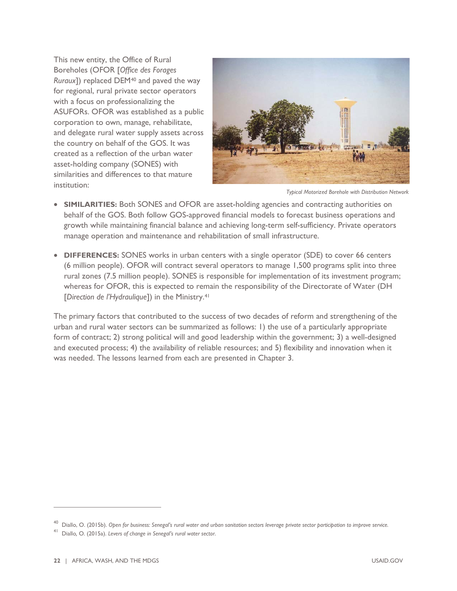This new entity, the Office of Rural Boreholes (OFOR [*Office des Forages Ruraux*]) replaced DEM[40](#page-26-0) and paved the way for regional, rural private sector operators with a focus on professionalizing the ASUFORs. OFOR was established as a public corporation to own, manage, rehabilitate, and delegate rural water supply assets across the country on behalf of the GOS. It was created as a reflection of the urban water asset-holding company (SONES) with similarities and differences to that mature institution:



*Typical Motorized Borehole with Distribution Network*

- **SIMILARITIES:** Both SONES and OFOR are asset-holding agencies and contracting authorities on behalf of the GOS. Both follow GOS-approved financial models to forecast business operations and growth while maintaining financial balance and achieving long-term self-sufficiency. Private operators manage operation and maintenance and rehabilitation of small infrastructure.
- **DIFFERENCES:** SONES works in urban centers with a single operator (SDE) to cover 66 centers (6 million people). OFOR will contract several operators to manage 1,500 programs split into three rural zones (7.5 million people). SONES is responsible for implementation of its investment program; whereas for OFOR, this is expected to remain the responsibility of the Directorate of Water (DH [*Direction de l'Hydraulique*]) in the Ministry[.41](#page-26-1)

The primary factors that contributed to the success of two decades of reform and strengthening of the urban and rural water sectors can be summarized as follows: 1) the use of a particularly appropriate form of contract; 2) strong political will and good leadership within the government; 3) a well-designed and executed process; 4) the availability of reliable resources; and 5) flexibility and innovation when it was needed. The lessons learned from each are presented in Chapter 3.

<span id="page-26-1"></span><span id="page-26-0"></span><sup>40</sup> Diallo, O. (2015b). *Open for business: Senegal's rural water and urban sanitation sectors leverage private sector participation to improve service.*

<sup>41</sup> Diallo*,* O. (2015a). *Levers of change in Senegal's rural water sector*.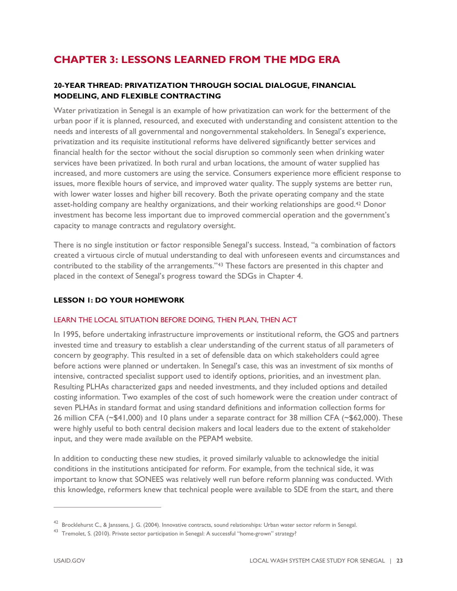# **CHAPTER 3: LESSONS LEARNED FROM THE MDG ERA**

### **20-YEAR THREAD: PRIVATIZATION THROUGH SOCIAL DIALOGUE, FINANCIAL MODELING, AND FLEXIBLE CONTRACTING**

Water privatization in Senegal is an example of how privatization can work for the betterment of the urban poor if it is planned, resourced, and executed with understanding and consistent attention to the needs and interests of all governmental and nongovernmental stakeholders. In Senegal's experience, privatization and its requisite institutional reforms have delivered significantly better services and financial health for the sector without the social disruption so commonly seen when drinking water services have been privatized. In both rural and urban locations, the amount of water supplied has increased, and more customers are using the service. Consumers experience more efficient response to issues, more flexible hours of service, and improved water quality. The supply systems are better run, with lower water losses and higher bill recovery. Both the private operating company and the state asset-holding company are healthy organizations, and their working relationships are good.[42](#page-27-0) Donor investment has become less important due to improved commercial operation and the government's capacity to manage contracts and regulatory oversight.

There is no single institution or factor responsible Senegal's success. Instead, "a combination of factors created a virtuous circle of mutual understanding to deal with unforeseen events and circumstances and contributed to the stability of the arrangements."[43](#page-27-1) These factors are presented in this chapter and placed in the context of Senegal's progress toward the SDGs in Chapter 4.

### **LESSON 1: DO YOUR HOMEWORK**

### LEARN THE LOCAL SITUATION BEFORE DOING, THEN PLAN, THEN ACT

In 1995, before undertaking infrastructure improvements or institutional reform, the GOS and partners invested time and treasury to establish a clear understanding of the current status of all parameters of concern by geography. This resulted in a set of defensible data on which stakeholders could agree before actions were planned or undertaken. In Senegal's case, this was an investment of six months of intensive, contracted specialist support used to identify options, priorities, and an investment plan. Resulting PLHAs characterized gaps and needed investments, and they included options and detailed costing information. Two examples of the cost of such homework were the creation under contract of seven PLHAs in standard format and using standard definitions and information collection forms for 26 million CFA (~\$41,000) and 10 plans under a separate contract for 38 million CFA (~\$62,000). These were highly useful to both central decision makers and local leaders due to the extent of stakeholder input, and they were made available on the PEPAM website.

In addition to conducting these new studies, it proved similarly valuable to acknowledge the initial conditions in the institutions anticipated for reform. For example, from the technical side, it was important to know that SONEES was relatively well run before reform planning was conducted. With this knowledge, reformers knew that technical people were available to SDE from the start, and there

<span id="page-27-0"></span> $42$  Brocklehurst C., & Janssens, J. G. (2004). Innovative contracts, sound relationships: Urban water sector reform in Senegal.

<span id="page-27-1"></span><sup>&</sup>lt;sup>43</sup> Tremolet, S. (2010). Private sector participation in Senegal: A successful "home-grown" strategy?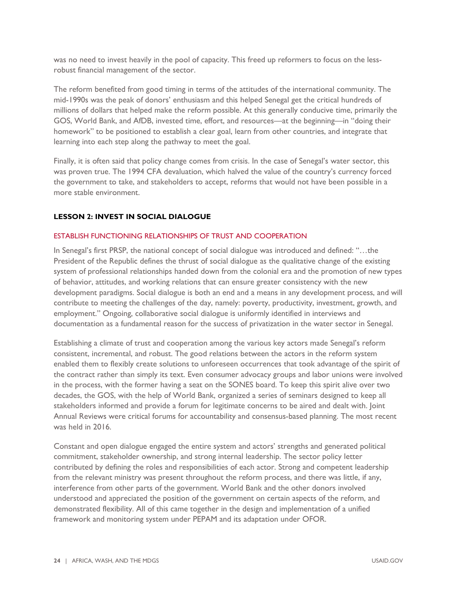was no need to invest heavily in the pool of capacity. This freed up reformers to focus on the lessrobust financial management of the sector.

The reform benefited from good timing in terms of the attitudes of the international community. The mid-1990s was the peak of donors' enthusiasm and this helped Senegal get the critical hundreds of millions of dollars that helped make the reform possible. At this generally conducive time, primarily the GOS, World Bank, and AfDB, invested time, effort, and resources—at the beginning—in "doing their homework" to be positioned to establish a clear goal, learn from other countries, and integrate that learning into each step along the pathway to meet the goal.

Finally, it is often said that policy change comes from crisis. In the case of Senegal's water sector, this was proven true. The 1994 CFA devaluation, which halved the value of the country's currency forced the government to take, and stakeholders to accept, reforms that would not have been possible in a more stable environment.

### **LESSON 2: INVEST IN SOCIAL DIALOGUE**

#### ESTABLISH FUNCTIONING RELATIONSHIPS OF TRUST AND COOPERATION

In Senegal's first PRSP, the national concept of social dialogue was introduced and defined: "…the President of the Republic defines the thrust of social dialogue as the qualitative change of the existing system of professional relationships handed down from the colonial era and the promotion of new types of behavior, attitudes, and working relations that can ensure greater consistency with the new development paradigms. Social dialogue is both an end and a means in any development process, and will contribute to meeting the challenges of the day, namely: poverty, productivity, investment, growth, and employment." Ongoing, collaborative social dialogue is uniformly identified in interviews and documentation as a fundamental reason for the success of privatization in the water sector in Senegal.

Establishing a climate of trust and cooperation among the various key actors made Senegal's reform consistent, incremental, and robust. The good relations between the actors in the reform system enabled them to flexibly create solutions to unforeseen occurrences that took advantage of the spirit of the contract rather than simply its text. Even consumer advocacy groups and labor unions were involved in the process, with the former having a seat on the SONES board. To keep this spirit alive over two decades, the GOS, with the help of World Bank, organized a series of seminars designed to keep all stakeholders informed and provide a forum for legitimate concerns to be aired and dealt with. Joint Annual Reviews were critical forums for accountability and consensus-based planning. The most recent was held in 2016.

Constant and open dialogue engaged the entire system and actors' strengths and generated political commitment, stakeholder ownership, and strong internal leadership. The sector policy letter contributed by defining the roles and responsibilities of each actor. Strong and competent leadership from the relevant ministry was present throughout the reform process, and there was little, if any, interference from other parts of the government. World Bank and the other donors involved understood and appreciated the position of the government on certain aspects of the reform, and demonstrated flexibility. All of this came together in the design and implementation of a unified framework and monitoring system under PEPAM and its adaptation under OFOR.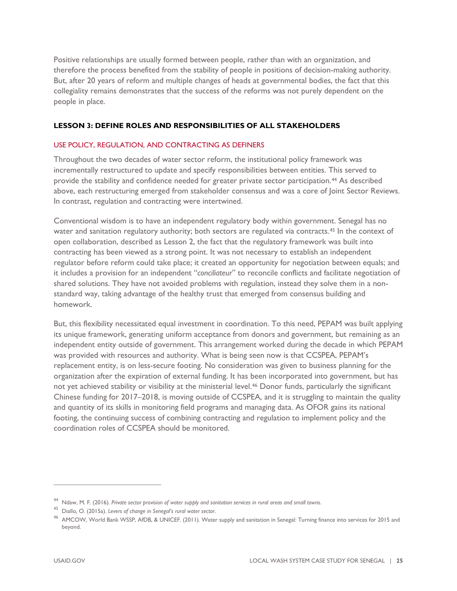Positive relationships are usually formed between people, rather than with an organization, and therefore the process benefited from the stability of people in positions of decision-making authority. But, after 20 years of reform and multiple changes of heads at governmental bodies, the fact that this collegiality remains demonstrates that the success of the reforms was not purely dependent on the people in place.

### **LESSON 3: DEFINE ROLES AND RESPONSIBILITIES OF ALL STAKEHOLDERS**

### USE POLICY, REGULATION, AND CONTRACTING AS DEFINERS

Throughout the two decades of water sector reform, the institutional policy framework was incrementally restructured to update and specify responsibilities between entities. This served to provide the stability and confidence needed for greater private sector participation.<sup>44</sup> As described above, each restructuring emerged from stakeholder consensus and was a core of Joint Sector Reviews. In contrast, regulation and contracting were intertwined.

Conventional wisdom is to have an independent regulatory body within government. Senegal has no water and sanitation regulatory authority; both sectors are regulated via contracts.<sup>[45](#page-29-1)</sup> In the context of open collaboration, described as Lesson 2, the fact that the regulatory framework was built into contracting has been viewed as a strong point. It was not necessary to establish an independent regulator before reform could take place; it created an opportunity for negotiation between equals; and it includes a provision for an independent "*conciliateur*" to reconcile conflicts and facilitate negotiation of shared solutions. They have not avoided problems with regulation, instead they solve them in a nonstandard way, taking advantage of the healthy trust that emerged from consensus building and homework.

But, this flexibility necessitated equal investment in coordination. To this need, PEPAM was built applying its unique framework, generating uniform acceptance from donors and government, but remaining as an independent entity outside of government. This arrangement worked during the decade in which PEPAM was provided with resources and authority. What is being seen now is that CCSPEA, PEPAM's replacement entity, is on less-secure footing. No consideration was given to business planning for the organization after the expiration of external funding. It has been incorporated into government, but has not yet achieved stability or visibility at the ministerial level.[46](#page-29-2) Donor funds, particularly the significant Chinese funding for 2017–2018, is moving outside of CCSPEA, and it is struggling to maintain the quality and quantity of its skills in monitoring field programs and managing data. As OFOR gains its national footing, the continuing success of combining contracting and regulation to implement policy and the coordination roles of CCSPEA should be monitored.

<span id="page-29-0"></span><sup>44</sup> Ndaw, M. F. (2016). *Private sector provision of water supply and sanitation services in rural areas and small towns*.

<span id="page-29-2"></span><span id="page-29-1"></span><sup>45</sup> Diallo*,* O. (2015a). *Levers of change in Senegal's rural water sector*.

<sup>46</sup> AMCOW, World Bank WSSP, AfDB, & UNICEF. (2011). Water supply and sanitation in Senegal: Turning finance into services for 2015 and beyond.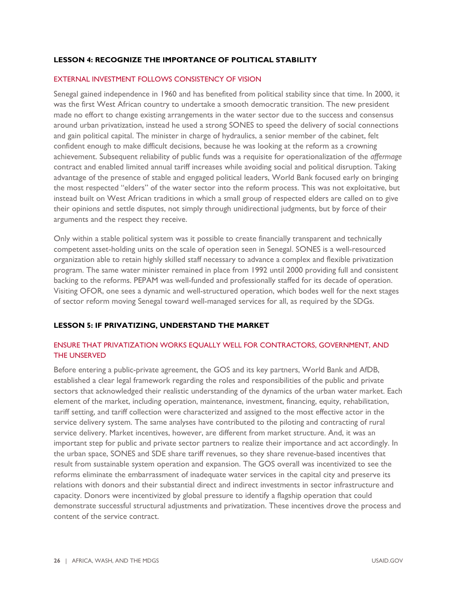### **LESSON 4: RECOGNIZE THE IMPORTANCE OF POLITICAL STABILITY**

### EXTERNAL INVESTMENT FOLLOWS CONSISTENCY OF VISION

Senegal gained independence in 1960 and has benefited from political stability since that time. In 2000, it was the first West African country to undertake a smooth democratic transition. The new president made no effort to change existing arrangements in the water sector due to the success and consensus around urban privatization, instead he used a strong SONES to speed the delivery of social connections and gain political capital. The minister in charge of hydraulics, a senior member of the cabinet, felt confident enough to make difficult decisions, because he was looking at the reform as a crowning achievement. Subsequent reliability of public funds was a requisite for operationalization of the *affermage* contract and enabled limited annual tariff increases while avoiding social and political disruption. Taking advantage of the presence of stable and engaged political leaders, World Bank focused early on bringing the most respected "elders" of the water sector into the reform process. This was not exploitative, but instead built on West African traditions in which a small group of respected elders are called on to give their opinions and settle disputes, not simply through unidirectional judgments, but by force of their arguments and the respect they receive.

Only within a stable political system was it possible to create financially transparent and technically competent asset-holding units on the scale of operation seen in Senegal. SONES is a well-resourced organization able to retain highly skilled staff necessary to advance a complex and flexible privatization program. The same water minister remained in place from 1992 until 2000 providing full and consistent backing to the reforms. PEPAM was well-funded and professionally staffed for its decade of operation. Visiting OFOR, one sees a dynamic and well-structured operation, which bodes well for the next stages of sector reform moving Senegal toward well-managed services for all, as required by the SDGs.

### **LESSON 5: IF PRIVATIZING, UNDERSTAND THE MARKET**

### ENSURE THAT PRIVATIZATION WORKS EQUALLY WELL FOR CONTRACTORS, GOVERNMENT, AND THE UNSERVED

Before entering a public-private agreement, the GOS and its key partners, World Bank and AfDB, established a clear legal framework regarding the roles and responsibilities of the public and private sectors that acknowledged their realistic understanding of the dynamics of the urban water market. Each element of the market, including operation, maintenance, investment, financing, equity, rehabilitation, tariff setting, and tariff collection were characterized and assigned to the most effective actor in the service delivery system. The same analyses have contributed to the piloting and contracting of rural service delivery. Market incentives, however, are different from market structure. And, it was an important step for public and private sector partners to realize their importance and act accordingly. In the urban space, SONES and SDE share tariff revenues, so they share revenue-based incentives that result from sustainable system operation and expansion. The GOS overall was incentivized to see the reforms eliminate the embarrassment of inadequate water services in the capital city and preserve its relations with donors and their substantial direct and indirect investments in sector infrastructure and capacity. Donors were incentivized by global pressure to identify a flagship operation that could demonstrate successful structural adjustments and privatization. These incentives drove the process and content of the service contract.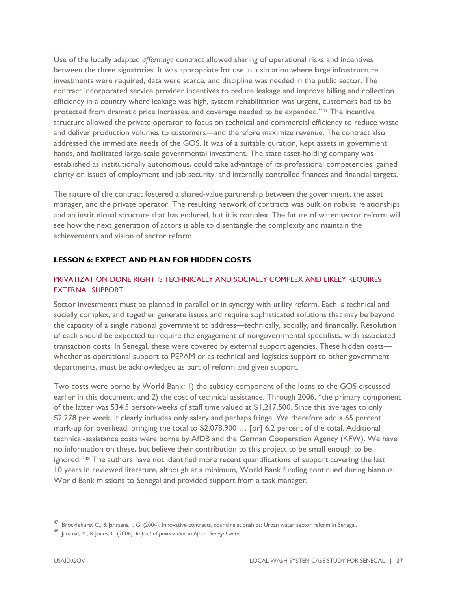Use of the locally adapted *affermage* contract allowed sharing of operational risks and incentives between the three signatories. It was appropriate for use in a situation where large infrastructure investments were required, data were scarce, and discipline was needed in the public sector. The contract incorporated service provider incentives to reduce leakage and improve billing and collection efficiency in a country where leakage was high, system rehabilitation was urgent, customers had to be protected from dramatic price increases, and coverage needed to be expanded."[47](#page-31-0) The incentive structure allowed the private operator to focus on technical and commercial efficiency to reduce waste and deliver production volumes to customers—and therefore maximize revenue. The contract also addressed the immediate needs of the GOS. It was of a suitable duration, kept assets in government hands, and facilitated large-scale governmental investment. The state asset-holding company was established as institutionally autonomous, could take advantage of its professional competencies, gained clarity on issues of employment and job security, and internally controlled finances and financial targets.

The nature of the contract fostered a shared-value partnership between the government, the asset manager, and the private operator. The resulting network of contracts was built on robust relationships and an institutional structure that has endured, but it is complex. The future of water sector reform will see how the next generation of actors is able to disentangle the complexity and maintain the achievements and vision of sector reform.

### **LESSON 6: EXPECT AND PLAN FOR HIDDEN COSTS**

### PRIVATIZATION DONE RIGHT IS TECHNICALLY AND SOCIALLY COMPLEX AND LIKELY REQUIRES EXTERNAL SUPPORT

Sector investments must be planned in parallel or in synergy with utility reform. Each is technical and socially complex, and together generate issues and require sophisticated solutions that may be beyond the capacity of a single national government to address—technically, socially, and financially. Resolution of each should be expected to require the engagement of nongovernmental specialists, with associated transaction costs. In Senegal, these were covered by external support agencies. These hidden costs whether as operational support to PEPAM or as technical and logistics support to other government departments, must be acknowledged as part of reform and given support.

Two costs were borne by World Bank: 1) the subsidy component of the loans to the GOS discussed earlier in this document; and 2) the cost of technical assistance. Through 2006, "the primary component of the latter was 534.5 person-weeks of staff time valued at \$1,217,500. Since this averages to only \$2,278 per week, it clearly includes only salary and perhaps fringe. We therefore add a 65 percent mark-up for overhead, bringing the total to \$2,078,900 ... [or] 6.2 percent of the total. Additional technical-assistance costs were borne by AfDB and the German Cooperation Agency (KFW). We have no information on these, but believe their contribution to this project to be small enough to be ignored."<sup>[48](#page-31-1)</sup> The authors have not identified more recent quantifications of support covering the last 10 years in reviewed literature, although at a minimum, World Bank funding continued during biannual World Bank missions to Senegal and provided support from a task manager.

<span id="page-31-0"></span><sup>&</sup>lt;sup>47</sup> Brocklehurst C., & Janssens, J. G. (2004). Innovative contracts, sound relationships: Urban water sector reform in Senegal.

<span id="page-31-1"></span><sup>48</sup> Jammal, Y., & Jones, L. (2006). *Impact of privatization in Africa: Senegal water*.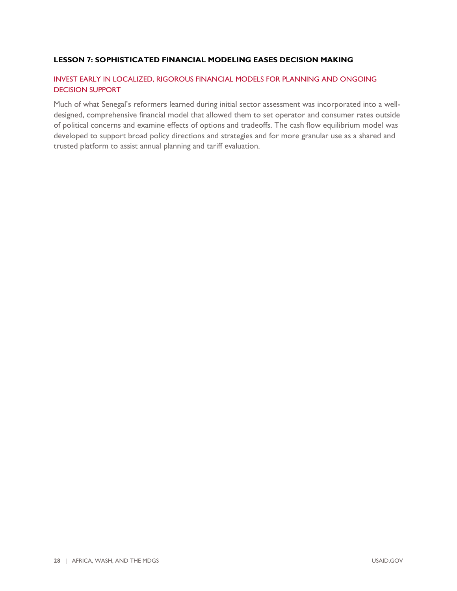### **LESSON 7: SOPHISTICATED FINANCIAL MODELING EASES DECISION MAKING**

### INVEST EARLY IN LOCALIZED, RIGOROUS FINANCIAL MODELS FOR PLANNING AND ONGOING DECISION SUPPORT

Much of what Senegal's reformers learned during initial sector assessment was incorporated into a welldesigned, comprehensive financial model that allowed them to set operator and consumer rates outside of political concerns and examine effects of options and tradeoffs. The cash flow equilibrium model was developed to support broad policy directions and strategies and for more granular use as a shared and trusted platform to assist annual planning and tariff evaluation.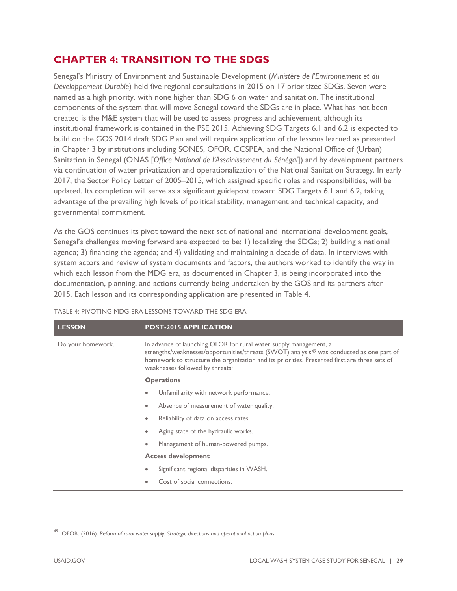### **CHAPTER 4: TRANSITION TO THE SDGS**

Senegal's Ministry of Environment and Sustainable Development (*Ministère de l'Environnement et du Développement Durable*) held five regional consultations in 2015 on 17 prioritized SDGs. Seven were named as a high priority, with none higher than SDG 6 on water and sanitation. The institutional components of the system that will move Senegal toward the SDGs are in place. What has not been created is the M&E system that will be used to assess progress and achievement, although its institutional framework is contained in the PSE 2015. Achieving SDG Targets 6.1 and 6.2 is expected to build on the GOS 2014 draft SDG Plan and will require application of the lessons learned as presented in Chapter 3 by institutions including SONES, OFOR, CCSPEA, and the National Office of (Urban) Sanitation in Senegal (ONAS [*Office National de l'Assainissement du Sénégal*]) and by development partners via continuation of water privatization and operationalization of the National Sanitation Strategy. In early 2017, the Sector Policy Letter of 2005–2015, which assigned specific roles and responsibilities, will be updated. Its completion will serve as a significant guidepost toward SDG Targets 6.1 and 6.2, taking advantage of the prevailing high levels of political stability, management and technical capacity, and governmental commitment.

As the GOS continues its pivot toward the next set of national and international development goals, Senegal's challenges moving forward are expected to be: 1) localizing the SDGs; 2) building a national agenda; 3) financing the agenda; and 4) validating and maintaining a decade of data. In interviews with system actors and review of system documents and factors, the authors worked to identify the way in which each lesson from the MDG era, as documented in Chapter 3, is being incorporated into the documentation, planning, and actions currently being undertaken by the GOS and its partners after 2015. Each lesson and its corresponding application are presented in Table 4.

| <b>LESSON</b>     | <b>POST-2015 APPLICATION</b>                                                                                                                                                                                                                                                                                  |  |
|-------------------|---------------------------------------------------------------------------------------------------------------------------------------------------------------------------------------------------------------------------------------------------------------------------------------------------------------|--|
| Do your homework. | In advance of launching OFOR for rural water supply management, a<br>strengths/weaknesses/opportunities/threats (SWOT) analysis <sup>49</sup> was conducted as one part of<br>homework to structure the organization and its priorities. Presented first are three sets of<br>weaknesses followed by threats: |  |
|                   | <b>Operations</b>                                                                                                                                                                                                                                                                                             |  |
|                   | Unfamiliarity with network performance.<br>$\bullet$                                                                                                                                                                                                                                                          |  |
|                   | Absence of measurement of water quality.<br>$\bullet$                                                                                                                                                                                                                                                         |  |
|                   | Reliability of data on access rates.<br>$\bullet$                                                                                                                                                                                                                                                             |  |
|                   | Aging state of the hydraulic works.<br>$\bullet$                                                                                                                                                                                                                                                              |  |
|                   | Management of human-powered pumps.                                                                                                                                                                                                                                                                            |  |
|                   | <b>Access development</b>                                                                                                                                                                                                                                                                                     |  |
|                   | Significant regional disparities in WASH.<br>$\bullet$                                                                                                                                                                                                                                                        |  |
|                   | Cost of social connections.<br>$\bullet$                                                                                                                                                                                                                                                                      |  |

### TABLE 4: PIVOTING MDG-ERA LESSONS TOWARD THE SDG ERA

<span id="page-33-0"></span><sup>49</sup> OFOR. (2016). *Reform of rural water supply: Strategic directions and operational action plans*.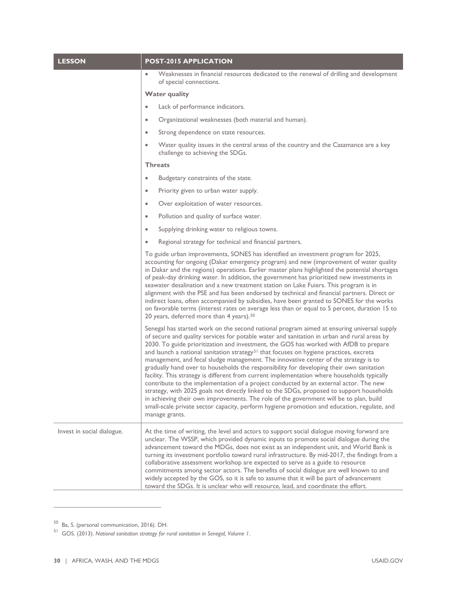| <b>LESSON</b>              | <b>POST-2015 APPLICATION</b>                                                                                                                                                                                                                                                                                                                                                                                                                                                                                                                                                                                                                                                                                                                                                                                                                                                                                                                                                                                                                                                 |  |
|----------------------------|------------------------------------------------------------------------------------------------------------------------------------------------------------------------------------------------------------------------------------------------------------------------------------------------------------------------------------------------------------------------------------------------------------------------------------------------------------------------------------------------------------------------------------------------------------------------------------------------------------------------------------------------------------------------------------------------------------------------------------------------------------------------------------------------------------------------------------------------------------------------------------------------------------------------------------------------------------------------------------------------------------------------------------------------------------------------------|--|
|                            | Weaknesses in financial resources dedicated to the renewal of drilling and development<br>$\bullet$<br>of special connections.                                                                                                                                                                                                                                                                                                                                                                                                                                                                                                                                                                                                                                                                                                                                                                                                                                                                                                                                               |  |
|                            | <b>Water quality</b>                                                                                                                                                                                                                                                                                                                                                                                                                                                                                                                                                                                                                                                                                                                                                                                                                                                                                                                                                                                                                                                         |  |
|                            | Lack of performance indicators.<br>$\bullet$                                                                                                                                                                                                                                                                                                                                                                                                                                                                                                                                                                                                                                                                                                                                                                                                                                                                                                                                                                                                                                 |  |
|                            | Organizational weaknesses (both material and human).<br>$\bullet$                                                                                                                                                                                                                                                                                                                                                                                                                                                                                                                                                                                                                                                                                                                                                                                                                                                                                                                                                                                                            |  |
|                            | Strong dependence on state resources.<br>$\bullet$                                                                                                                                                                                                                                                                                                                                                                                                                                                                                                                                                                                                                                                                                                                                                                                                                                                                                                                                                                                                                           |  |
|                            | Water quality issues in the central areas of the country and the Casamance are a key<br>challenge to achieving the SDGs.                                                                                                                                                                                                                                                                                                                                                                                                                                                                                                                                                                                                                                                                                                                                                                                                                                                                                                                                                     |  |
|                            | <b>Threats</b>                                                                                                                                                                                                                                                                                                                                                                                                                                                                                                                                                                                                                                                                                                                                                                                                                                                                                                                                                                                                                                                               |  |
|                            | Budgetary constraints of the state.<br>$\bullet$                                                                                                                                                                                                                                                                                                                                                                                                                                                                                                                                                                                                                                                                                                                                                                                                                                                                                                                                                                                                                             |  |
|                            | Priority given to urban water supply.<br>$\bullet$                                                                                                                                                                                                                                                                                                                                                                                                                                                                                                                                                                                                                                                                                                                                                                                                                                                                                                                                                                                                                           |  |
|                            | Over exploitation of water resources.<br>$\bullet$                                                                                                                                                                                                                                                                                                                                                                                                                                                                                                                                                                                                                                                                                                                                                                                                                                                                                                                                                                                                                           |  |
|                            | Pollution and quality of surface water.<br>$\bullet$                                                                                                                                                                                                                                                                                                                                                                                                                                                                                                                                                                                                                                                                                                                                                                                                                                                                                                                                                                                                                         |  |
|                            | Supplying drinking water to religious towns.<br>$\bullet$                                                                                                                                                                                                                                                                                                                                                                                                                                                                                                                                                                                                                                                                                                                                                                                                                                                                                                                                                                                                                    |  |
|                            | Regional strategy for technical and financial partners.<br>$\bullet$                                                                                                                                                                                                                                                                                                                                                                                                                                                                                                                                                                                                                                                                                                                                                                                                                                                                                                                                                                                                         |  |
|                            | To guide urban improvements, SONES has identified an investment program for 2025,<br>accounting for ongoing (Dakar emergency program) and new (improvement of water quality<br>in Dakar and the regions) operations. Earlier master plans highlighted the potential shortages<br>of peak-day drinking water. In addition, the government has prioritized new investments in<br>seawater desalination and a new treatment station on Lake Fuiers. This program is in<br>alignment with the PSE and has been endorsed by technical and financial partners. Direct or<br>indirect loans, often accompanied by subsidies, have been granted to SONES for the works<br>on favorable terms (interest rates on average less than or equal to 5 percent, duration 15 to<br>20 years, deferred more than 4 years). <sup>50</sup>                                                                                                                                                                                                                                                      |  |
|                            | Senegal has started work on the second national program aimed at ensuring universal supply<br>of secure and quality services for potable water and sanitation in urban and rural areas by<br>2030. To guide prioritization and investment, the GOS has worked with AfDB to prepare<br>and launch a national sanitation strategy <sup>51</sup> that focuses on hygiene practices, excreta<br>management, and fecal sludge management. The innovative center of the strategy is to<br>gradually hand over to households the responsibility for developing their own sanitation<br>facility. This strategy is different from current implementation where households typically<br>contribute to the implementation of a project conducted by an external actor. The new<br>strategy, with 2025 goals not directly linked to the SDGs, proposed to support households<br>in achieving their own improvements. The role of the government will be to plan, build<br>small-scale private sector capacity, perform hygiene promotion and education, regulate, and<br>manage grants. |  |
| Invest in social dialogue. | At the time of writing, the level and actors to support social dialogue moving forward are<br>unclear. The WSSP, which provided dynamic inputs to promote social dialogue during the<br>advancement toward the MDGs, does not exist as an independent unit, and World Bank is<br>turning its investment portfolio toward rural infrastructure. By mid-2017, the findings from a<br>collaborative assessment workshop are expected to serve as a guide to resource<br>commitments among sector actors. The benefits of social dialogue are well known to and<br>widely accepted by the GOS, so it is safe to assume that it will be part of advancement<br>toward the SDGs. It is unclear who will resource, lead, and coordinate the effort.                                                                                                                                                                                                                                                                                                                                 |  |

<span id="page-34-1"></span><span id="page-34-0"></span><sup>&</sup>lt;sup>50</sup> Ba, S. (personal communication, 2016). DH.

<sup>51</sup> GOS. (2013). *National sanitation strategy for rural sanitation in Senegal, Volume 1*.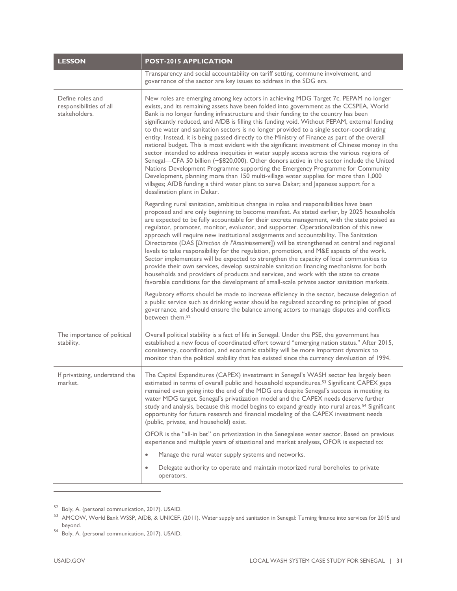| <b>LESSON</b>                                                | <b>POST-2015 APPLICATION</b>                                                                                                                                                                                                                                                                                                                                                                                                                                                                                                                                                                                                                                                                                                                                                                                                                                                                                                                                                                                                                                                                                                                                       |  |
|--------------------------------------------------------------|--------------------------------------------------------------------------------------------------------------------------------------------------------------------------------------------------------------------------------------------------------------------------------------------------------------------------------------------------------------------------------------------------------------------------------------------------------------------------------------------------------------------------------------------------------------------------------------------------------------------------------------------------------------------------------------------------------------------------------------------------------------------------------------------------------------------------------------------------------------------------------------------------------------------------------------------------------------------------------------------------------------------------------------------------------------------------------------------------------------------------------------------------------------------|--|
|                                                              | Transparency and social accountability on tariff setting, commune involvement, and<br>governance of the sector are key issues to address in the SDG era.                                                                                                                                                                                                                                                                                                                                                                                                                                                                                                                                                                                                                                                                                                                                                                                                                                                                                                                                                                                                           |  |
| Define roles and<br>responsibilities of all<br>stakeholders. | New roles are emerging among key actors in achieving MDG Target 7c. PEPAM no longer<br>exists, and its remaining assets have been folded into government as the CCSPEA, World<br>Bank is no longer funding infrastructure and their funding to the country has been<br>significantly reduced, and AfDB is filling this funding void. Without PEPAM, external funding<br>to the water and sanitation sectors is no longer provided to a single sector-coordinating<br>entity. Instead, it is being passed directly to the Ministry of Finance as part of the overall<br>national budget. This is most evident with the significant investment of Chinese money in the<br>sector intended to address inequities in water supply access across the various regions of<br>Senegal-CFA 50 billion (~\$820,000). Other donors active in the sector include the United<br>Nations Development Programme supporting the Emergency Programme for Community<br>Development, planning more than 150 multi-village water supplies for more than 1,000<br>villages; AfDB funding a third water plant to serve Dakar; and Japanese support for a<br>desalination plant in Dakar. |  |
|                                                              | Regarding rural sanitation, ambitious changes in roles and responsibilities have been<br>proposed and are only beginning to become manifest. As stated earlier, by 2025 households<br>are expected to be fully accountable for their excreta management, with the state poised as<br>regulator, promoter, monitor, evaluator, and supporter. Operationalization of this new<br>approach will require new institutional assignments and accountability. The Sanitation<br>Directorate (DAS [Direction de l'Assainissement]) will be strengthened at central and regional<br>levels to take responsibility for the regulation, promotion, and M&E aspects of the work.<br>Sector implementers will be expected to strengthen the capacity of local communities to<br>provide their own services, develop sustainable sanitation financing mechanisms for both<br>households and providers of products and services, and work with the state to create<br>favorable conditions for the development of small-scale private sector sanitation markets.<br>Regulatory efforts should be made to increase efficiency in the sector, because delegation of                 |  |
|                                                              | a public service such as drinking water should be regulated according to principles of good<br>governance, and should ensure the balance among actors to manage disputes and conflicts<br>between them. <sup>52</sup>                                                                                                                                                                                                                                                                                                                                                                                                                                                                                                                                                                                                                                                                                                                                                                                                                                                                                                                                              |  |
| The importance of political<br>stability.                    | Overall political stability is a fact of life in Senegal. Under the PSE, the government has<br>established a new focus of coordinated effort toward "emerging nation status." After 2015,<br>consistency, coordination, and economic stability will be more important dynamics to<br>monitor than the political stability that has existed since the currency devaluation of 1994.                                                                                                                                                                                                                                                                                                                                                                                                                                                                                                                                                                                                                                                                                                                                                                                 |  |
| If privatizing, understand the<br>market.                    | The Capital Expenditures (CAPEX) investment in Senegal's WASH sector has largely been<br>estimated in terms of overall public and household expenditures. <sup>53</sup> Significant CAPEX gaps<br>remained even going into the end of the MDG era despite Senegal's success in meeting its<br>water MDG target. Senegal's privatization model and the CAPEX needs deserve further<br>study and analysis, because this model begins to expand greatly into rural areas. <sup>54</sup> Significant<br>opportunity for future research and financial modeling of the CAPEX investment needs<br>(public, private, and household) exist.                                                                                                                                                                                                                                                                                                                                                                                                                                                                                                                                |  |
|                                                              | OFOR is the "all-in bet" on privatization in the Senegalese water sector. Based on previous<br>experience and multiple years of situational and market analyses, OFOR is expected to:                                                                                                                                                                                                                                                                                                                                                                                                                                                                                                                                                                                                                                                                                                                                                                                                                                                                                                                                                                              |  |
|                                                              | Manage the rural water supply systems and networks.<br>$\bullet$                                                                                                                                                                                                                                                                                                                                                                                                                                                                                                                                                                                                                                                                                                                                                                                                                                                                                                                                                                                                                                                                                                   |  |
|                                                              | Delegate authority to operate and maintain motorized rural boreholes to private<br>$\bullet$<br>operators.                                                                                                                                                                                                                                                                                                                                                                                                                                                                                                                                                                                                                                                                                                                                                                                                                                                                                                                                                                                                                                                         |  |

<span id="page-35-0"></span><sup>52</sup> Boly, A. (personal communication, 2017). USAID.

<span id="page-35-1"></span><sup>53</sup> AMCOW, World Bank WSSP, AfDB, & UNICEF. (2011). Water supply and sanitation in Senegal: Turning finance into services for 2015 and beyond.

<span id="page-35-2"></span><sup>54</sup> Boly, A. (personal communication, 2017). USAID.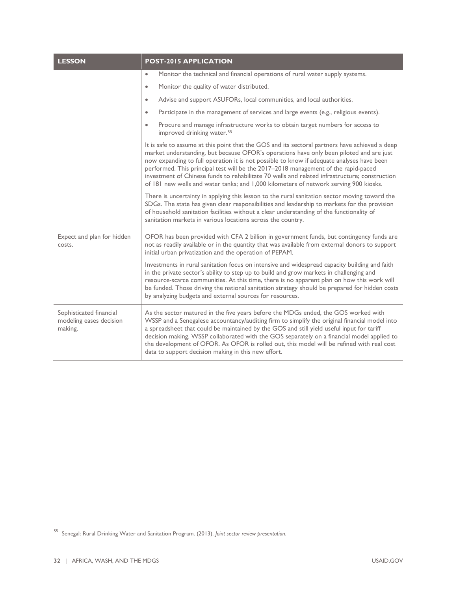| <b>LESSON</b>                                                 | <b>POST-2015 APPLICATION</b>                                                                                                                                                                                                                                                                                                                                                                                                                                                                                                                                           |  |
|---------------------------------------------------------------|------------------------------------------------------------------------------------------------------------------------------------------------------------------------------------------------------------------------------------------------------------------------------------------------------------------------------------------------------------------------------------------------------------------------------------------------------------------------------------------------------------------------------------------------------------------------|--|
|                                                               | Monitor the technical and financial operations of rural water supply systems.<br>$\bullet$                                                                                                                                                                                                                                                                                                                                                                                                                                                                             |  |
|                                                               | Monitor the quality of water distributed.<br>$\bullet$                                                                                                                                                                                                                                                                                                                                                                                                                                                                                                                 |  |
|                                                               | Advise and support ASUFORs, local communities, and local authorities.<br>$\bullet$                                                                                                                                                                                                                                                                                                                                                                                                                                                                                     |  |
|                                                               | Participate in the management of services and large events (e.g., religious events).<br>$\bullet$                                                                                                                                                                                                                                                                                                                                                                                                                                                                      |  |
|                                                               | Procure and manage infrastructure works to obtain target numbers for access to<br>$\bullet$<br>improved drinking water. <sup>55</sup>                                                                                                                                                                                                                                                                                                                                                                                                                                  |  |
|                                                               | It is safe to assume at this point that the GOS and its sectoral partners have achieved a deep<br>market understanding, but because OFOR's operations have only been piloted and are just<br>now expanding to full operation it is not possible to know if adequate analyses have been<br>performed. This principal test will be the 2017-2018 management of the rapid-paced<br>investment of Chinese funds to rehabilitate 70 wells and related infrastructure; construction<br>of 181 new wells and water tanks; and 1,000 kilometers of network serving 900 kiosks. |  |
|                                                               | There is uncertainty in applying this lesson to the rural sanitation sector moving toward the<br>SDGs. The state has given clear responsibilities and leadership to markets for the provision<br>of household sanitation facilities without a clear understanding of the functionality of<br>sanitation markets in various locations across the country.                                                                                                                                                                                                               |  |
| Expect and plan for hidden<br>costs.                          | OFOR has been provided with CFA 2 billion in government funds, but contingency funds are<br>not as readily available or in the quantity that was available from external donors to support<br>initial urban privatization and the operation of PEPAM.                                                                                                                                                                                                                                                                                                                  |  |
|                                                               | Investments in rural sanitation focus on intensive and widespread capacity building and faith<br>in the private sector's ability to step up to build and grow markets in challenging and<br>resource-scarce communities. At this time, there is no apparent plan on how this work will<br>be funded. Those driving the national sanitation strategy should be prepared for hidden costs<br>by analyzing budgets and external sources for resources.                                                                                                                    |  |
| Sophisticated financial<br>modeling eases decision<br>making. | As the sector matured in the five years before the MDGs ended, the GOS worked with<br>WSSP and a Senegalese accountancy/auditing firm to simplify the original financial model into<br>a spreadsheet that could be maintained by the GOS and still yield useful input for tariff<br>decision making. WSSP collaborated with the GOS separately on a financial model applied to<br>the development of OFOR. As OFOR is rolled out, this model will be refined with real cost<br>data to support decision making in this new effort.                                     |  |

J.

<span id="page-36-0"></span><sup>55</sup> Senegal: Rural Drinking Water and Sanitation Program. (2013). *Joint sector review presentation*.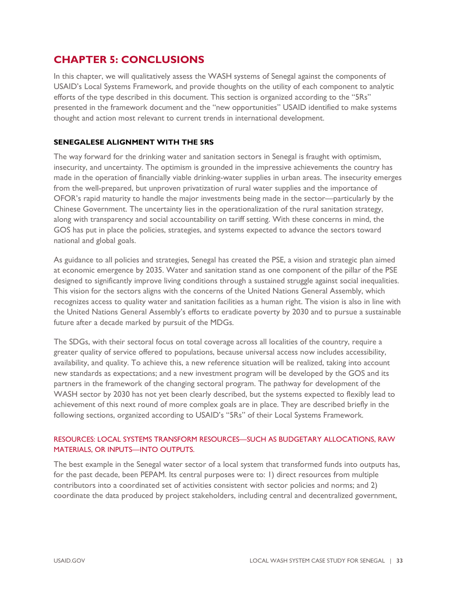### **CHAPTER 5: CONCLUSIONS**

In this chapter, we will qualitatively assess the WASH systems of Senegal against the components of USAID's Local Systems Framework, and provide thoughts on the utility of each component to analytic efforts of the type described in this document. This section is organized according to the "5Rs" presented in the framework document and the "new opportunities" USAID identified to make systems thought and action most relevant to current trends in international development.

### **SENEGALESE ALIGNMENT WITH THE 5RS**

The way forward for the drinking water and sanitation sectors in Senegal is fraught with optimism, insecurity, and uncertainty. The optimism is grounded in the impressive achievements the country has made in the operation of financially viable drinking-water supplies in urban areas. The insecurity emerges from the well-prepared, but unproven privatization of rural water supplies and the importance of OFOR's rapid maturity to handle the major investments being made in the sector—particularly by the Chinese Government. The uncertainty lies in the operationalization of the rural sanitation strategy, along with transparency and social accountability on tariff setting. With these concerns in mind, the GOS has put in place the policies, strategies, and systems expected to advance the sectors toward national and global goals.

As guidance to all policies and strategies, Senegal has created the PSE, a vision and strategic plan aimed at economic emergence by 2035. Water and sanitation stand as one component of the pillar of the PSE designed to significantly improve living conditions through a sustained struggle against social inequalities. This vision for the sectors aligns with the concerns of the United Nations General Assembly, which recognizes access to quality water and sanitation facilities as a human right. The vision is also in line with the United Nations General Assembly's efforts to eradicate poverty by 2030 and to pursue a sustainable future after a decade marked by pursuit of the MDGs.

The SDGs, with their sectoral focus on total coverage across all localities of the country, require a greater quality of service offered to populations, because universal access now includes accessibility, availability, and quality. To achieve this, a new reference situation will be realized, taking into account new standards as expectations; and a new investment program will be developed by the GOS and its partners in the framework of the changing sectoral program. The pathway for development of the WASH sector by 2030 has not yet been clearly described, but the systems expected to flexibly lead to achievement of this next round of more complex goals are in place. They are described briefly in the following sections, organized according to USAID's "5Rs" of their Local Systems Framework.

### RESOURCES: LOCAL SYSTEMS TRANSFORM RESOURCES—SUCH AS BUDGETARY ALLOCATIONS, RAW MATERIALS, OR INPUTS—INTO OUTPUTS.

The best example in the Senegal water sector of a local system that transformed funds into outputs has, for the past decade, been PEPAM. Its central purposes were to: 1) direct resources from multiple contributors into a coordinated set of activities consistent with sector policies and norms; and 2) coordinate the data produced by project stakeholders, including central and decentralized government,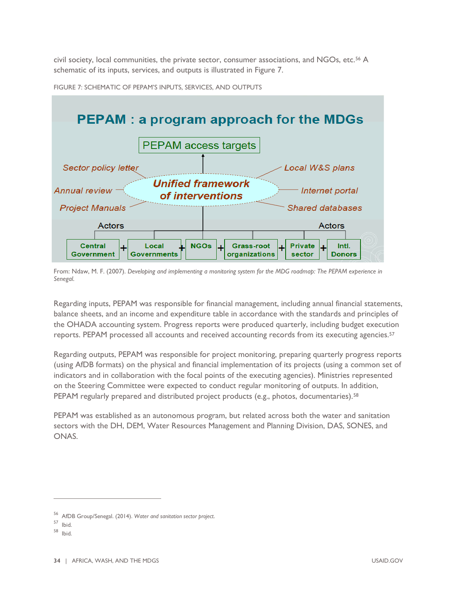civil society, local communities, the private sector, consumer associations, and NGOs, etc[.56](#page-38-0) A schematic of its inputs, services, and outputs is illustrated in Figure 7.



FIGURE 7: SCHEMATIC OF PEPAM'S INPUTS, SERVICES, AND OUTPUTS

From: Ndaw, M. F. (2007). *Developing and implementing a monitoring system for the MDG roadmap: The PEPAM experience in Senegal*.

Regarding inputs, PEPAM was responsible for financial management, including annual financial statements, balance sheets, and an income and expenditure table in accordance with the standards and principles of the OHADA accounting system. Progress reports were produced quarterly, including budget execution reports. PEPAM processed all accounts and received accounting records from its executing agencies.[57](#page-38-1)

Regarding outputs, PEPAM was responsible for project monitoring, preparing quarterly progress reports (using AfDB formats) on the physical and financial implementation of its projects (using a common set of indicators and in collaboration with the focal points of the executing agencies). Ministries represented on the Steering Committee were expected to conduct regular monitoring of outputs. In addition, PEPAM regularly prepared and distributed project products (e.g., photos, documentaries).<sup>[58](#page-38-2)</sup>

PEPAM was established as an autonomous program, but related across both the water and sanitation sectors with the DH, DEM, Water Resources Management and Planning Division, DAS, SONES, and ONAS.

<sup>56</sup> AfDB Group/Senegal. (2014). *Water and sanitation sector project*.

<span id="page-38-1"></span><span id="page-38-0"></span><sup>57</sup> Ibid.

<span id="page-38-2"></span><sup>58</sup> Ibid.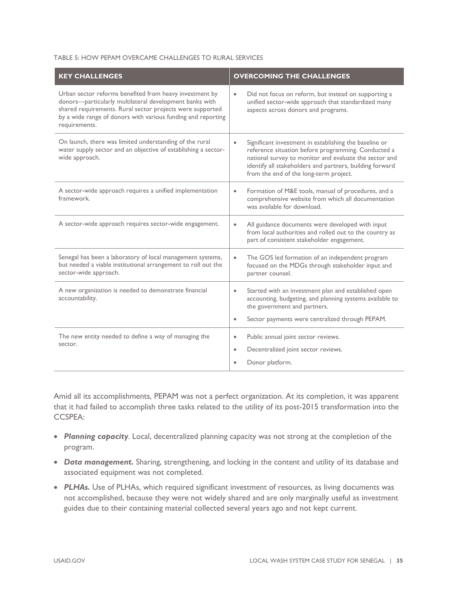#### TABLE 5: HOW PEPAM OVERCAME CHALLENGES TO RURAL SERVICES

| <b>KEY CHALLENGES</b>                                                                                                                                                                                                                                            | <b>OVERCOMING THE CHALLENGES</b>                                                                                                                                                                                                                                                           |  |
|------------------------------------------------------------------------------------------------------------------------------------------------------------------------------------------------------------------------------------------------------------------|--------------------------------------------------------------------------------------------------------------------------------------------------------------------------------------------------------------------------------------------------------------------------------------------|--|
| Urban sector reforms benefited from heavy investment by<br>donors-particularly multilateral development banks with<br>shared requirements. Rural sector projects were supported<br>by a wide range of donors with various funding and reporting<br>requirements. | Did not focus on reform, but instead on supporting a<br>$\bullet$<br>unified sector-wide approach that standardized many<br>aspects across donors and programs.                                                                                                                            |  |
| On launch, there was limited understanding of the rural<br>water supply sector and an objective of establishing a sector-<br>wide approach.                                                                                                                      | Significant investment in establishing the baseline or<br>$\bullet$<br>reference situation before programming. Conducted a<br>national survey to monitor and evaluate the sector and<br>identify all stakeholders and partners, building forward<br>from the end of the long-term project. |  |
| A sector-wide approach requires a unified implementation<br>framework.                                                                                                                                                                                           | Formation of M&E tools, manual of procedures, and a<br>$\bullet$<br>comprehensive website from which all documentation<br>was available for download.                                                                                                                                      |  |
| A sector-wide approach requires sector-wide engagement.                                                                                                                                                                                                          | All guidance documents were developed with input<br>from local authorities and rolled out to the country as<br>part of consistent stakeholder engagement.                                                                                                                                  |  |
| Senegal has been a laboratory of local management systems,<br>but needed a viable institutional arrangement to roll out the<br>sector-wide approach.                                                                                                             | The GOS led formation of an independent program<br>$\bullet$<br>focused on the MDGs through stakeholder input and<br>partner counsel.                                                                                                                                                      |  |
| A new organization is needed to demonstrate financial<br>accountability.                                                                                                                                                                                         | Started with an investment plan and established open<br>$\bullet$<br>accounting, budgeting, and planning systems available to<br>the government and partners.<br>Sector payments were centralized through PEPAM.<br>$\bullet$                                                              |  |
| The new entity needed to define a way of managing the<br>sector.                                                                                                                                                                                                 | Public annual joint sector reviews.<br>$\bullet$<br>Decentralized joint sector reviews.<br>$\bullet$<br>Donor platform.                                                                                                                                                                    |  |

Amid all its accomplishments, PEPAM was not a perfect organization. At its completion, it was apparent that it had failed to accomplish three tasks related to the utility of its post-2015 transformation into the CCSPEA:

- *Planning capacity*. Local, decentralized planning capacity was not strong at the completion of the program.
- *Data management.* Sharing, strengthening, and locking in the content and utility of its database and associated equipment was not completed.
- PLHAs. Use of PLHAs, which required significant investment of resources, as living documents was not accomplished, because they were not widely shared and are only marginally useful as investment guides due to their containing material collected several years ago and not kept current.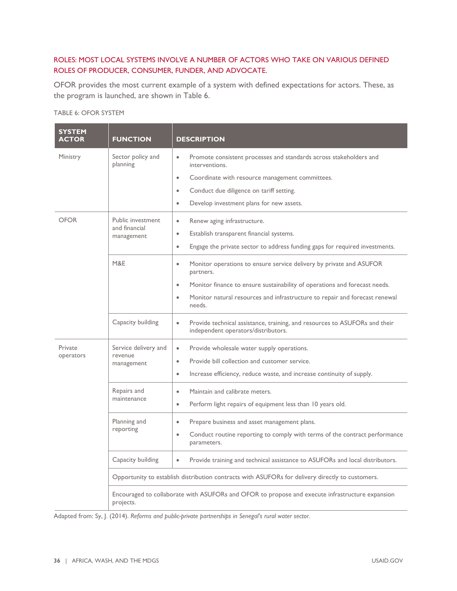### ROLES: MOST LOCAL SYSTEMS INVOLVE A NUMBER OF ACTORS WHO TAKE ON VARIOUS DEFINED ROLES OF PRODUCER, CONSUMER, FUNDER, AND ADVOCATE.

OFOR provides the most current example of a system with defined expectations for actors. These, as the program is launched, are shown in Table 6.

### TABLE 6: OFOR SYSTEM

| <b>SYSTEM</b><br><b>ACTOR</b> | <b>FUNCTION</b>                                                                                  | <b>DESCRIPTION</b>                                                                                                             |
|-------------------------------|--------------------------------------------------------------------------------------------------|--------------------------------------------------------------------------------------------------------------------------------|
| Ministry                      | Sector policy and<br>planning                                                                    | Promote consistent processes and standards across stakeholders and<br>$\bullet$<br>interventions.                              |
|                               |                                                                                                  | Coordinate with resource management committees.<br>$\bullet$                                                                   |
|                               |                                                                                                  | Conduct due diligence on tariff setting.<br>$\bullet$                                                                          |
|                               |                                                                                                  | Develop investment plans for new assets.<br>$\bullet$                                                                          |
| <b>OFOR</b>                   | Public investment<br>and financial<br>management                                                 | Renew aging infrastructure.<br>$\bullet$                                                                                       |
|                               |                                                                                                  | Establish transparent financial systems.<br>$\bullet$                                                                          |
|                               |                                                                                                  | Engage the private sector to address funding gaps for required investments.<br>$\bullet$                                       |
|                               | M&E                                                                                              | Monitor operations to ensure service delivery by private and ASUFOR<br>$\bullet$<br>partners.                                  |
|                               |                                                                                                  | Monitor finance to ensure sustainability of operations and forecast needs.<br>$\bullet$                                        |
|                               |                                                                                                  | Monitor natural resources and infrastructure to repair and forecast renewal<br>$\bullet$<br>needs.                             |
|                               | Capacity building                                                                                | Provide technical assistance, training, and resources to ASUFORs and their<br>$\bullet$<br>independent operators/distributors. |
| Private<br>operators          | Service delivery and<br>revenue<br>management                                                    | Provide wholesale water supply operations.<br>$\bullet$                                                                        |
|                               |                                                                                                  | Provide bill collection and customer service.<br>$\bullet$                                                                     |
|                               |                                                                                                  | Increase efficiency, reduce waste, and increase continuity of supply.<br>$\bullet$                                             |
|                               | Repairs and<br>maintenance                                                                       | Maintain and calibrate meters.<br>$\bullet$                                                                                    |
|                               |                                                                                                  | Perform light repairs of equipment less than 10 years old.<br>$\bullet$                                                        |
|                               | Planning and<br>reporting                                                                        | Prepare business and asset management plans.<br>$\bullet$                                                                      |
|                               |                                                                                                  | Conduct routine reporting to comply with terms of the contract performance<br>$\bullet$<br>parameters.                         |
|                               | Capacity building                                                                                | $\bullet$<br>Provide training and technical assistance to ASUFORs and local distributors.                                      |
|                               | Opportunity to establish distribution contracts with ASUFORs for delivery directly to customers. |                                                                                                                                |
|                               | projects.                                                                                        | Encouraged to collaborate with ASUFORs and OFOR to propose and execute infrastructure expansion                                |

Adapted from: Sy, J. (2014). *Reforms and public-private partnerships in Senegal's rural water sector.*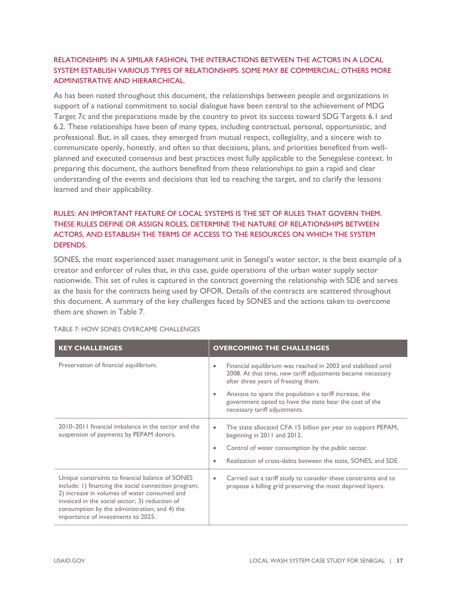### RELATIONSHIPS: IN A SIMILAR FASHION, THE INTERACTIONS BETWEEN THE ACTORS IN A LOCAL SYSTEM ESTABLISH VARIOUS TYPES OF RELATIONSHIPS. SOME MAY BE COMMERCIAL; OTHERS MORE ADMINISTRATIVE AND HIERARCHICAL.

As has been noted throughout this document, the relationships between people and organizations in support of a national commitment to social dialogue have been central to the achievement of MDG Target 7c and the preparations made by the country to pivot its success toward SDG Targets 6.1 and 6.2. These relationships have been of many types, including contractual, personal, opportunistic, and professional. But, in all cases, they emerged from mutual respect, collegiality, and a sincere wish to communicate openly, honestly, and often so that decisions, plans, and priorities benefited from wellplanned and executed consensus and best practices most fully applicable to the Senegalese context. In preparing this document, the authors benefited from these relationships to gain a rapid and clear understanding of the events and decisions that led to reaching the target, and to clarify the lessons learned and their applicability.

### RULES: AN IMPORTANT FEATURE OF LOCAL SYSTEMS IS THE SET OF RULES THAT GOVERN THEM. THESE RULES DEFINE OR ASSIGN ROLES, DETERMINE THE NATURE OF RELATIONSHIPS BETWEEN ACTORS, AND ESTABLISH THE TERMS OF ACCESS TO THE RESOURCES ON WHICH THE SYSTEM DEPENDS.

SONES, the most experienced asset management unit in Senegal's water sector, is the best example of a creator and enforcer of rules that, in this case, guide operations of the urban water supply sector nationwide. This set of rules is captured in the contract governing the relationship with SDE and serves as the basis for the contracts being used by OFOR. Details of the contracts are scattered throughout this document. A summary of the key challenges faced by SONES and the actions taken to overcome them are shown in Table 7.

| <b>KEY CHALLENGES</b>                                                                                                                                                                                                                                                                             | <b>OVERCOMING THE CHALLENGES</b>                                                                                                                                                  |
|---------------------------------------------------------------------------------------------------------------------------------------------------------------------------------------------------------------------------------------------------------------------------------------------------|-----------------------------------------------------------------------------------------------------------------------------------------------------------------------------------|
| Preservation of financial equilibrium.                                                                                                                                                                                                                                                            | Financial equilibrium was reached in 2003 and stabilized until<br>$\bullet$<br>2008. At that time, new tariff adjustments became necessary<br>after three years of freezing them. |
|                                                                                                                                                                                                                                                                                                   | Anxious to spare the population a tariff increase, the<br>۰<br>government opted to have the state bear the cost of the<br>necessary tariff adjustments.                           |
| 2010–2011 financial imbalance in the sector and the<br>suspension of payments by PEPAM donors.                                                                                                                                                                                                    | The state allocated CFA 15 billion per year to support PEPAM,<br>۰<br>beginning in 2011 and 2012.                                                                                 |
|                                                                                                                                                                                                                                                                                                   | Control of water consumption by the public sector.<br>۰                                                                                                                           |
|                                                                                                                                                                                                                                                                                                   | Realization of cross-debts between the state, SONES, and SDE.<br>۰                                                                                                                |
| Unique constraints to financial balance of SONES<br>include: 1) financing the social connection program;<br>2) increase in volumes of water consumed and<br>invoiced in the social sector; 3) reduction of<br>consumption by the administration; and 4) the<br>importance of investments to 2025. | Carried out a tariff study to consider these constraints and to<br>$\bullet$<br>propose a billing grid preserving the most deprived layers.                                       |

TABLE 7: HOW SONES OVERCAME CHALLENGES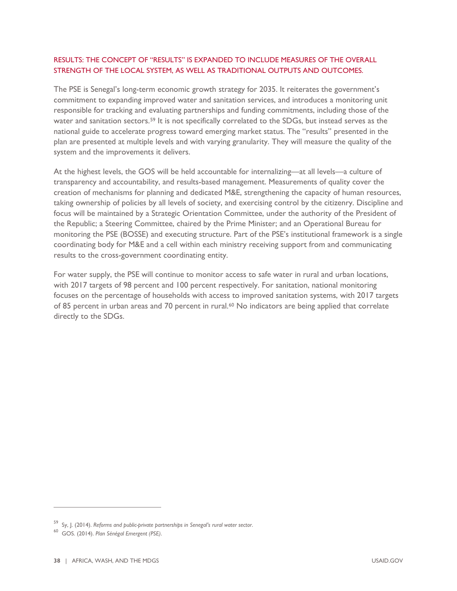### RESULTS: THE CONCEPT OF "RESULTS" IS EXPANDED TO INCLUDE MEASURES OF THE OVERALL STRENGTH OF THE LOCAL SYSTEM, AS WELL AS TRADITIONAL OUTPUTS AND OUTCOMES.

The PSE is Senegal's long-term economic growth strategy for 2035. It reiterates the government's commitment to expanding improved water and sanitation services, and introduces a monitoring unit responsible for tracking and evaluating partnerships and funding commitments, including those of the water and sanitation sectors.[59](#page-42-0) It is not specifically correlated to the SDGs, but instead serves as the national guide to accelerate progress toward emerging market status. The "results" presented in the plan are presented at multiple levels and with varying granularity. They will measure the quality of the system and the improvements it delivers.

At the highest levels, the GOS will be held accountable for internalizing—at all levels—a culture of transparency and accountability, and results-based management. Measurements of quality cover the creation of mechanisms for planning and dedicated M&E, strengthening the capacity of human resources, taking ownership of policies by all levels of society, and exercising control by the citizenry. Discipline and focus will be maintained by a Strategic Orientation Committee, under the authority of the President of the Republic; a Steering Committee, chaired by the Prime Minister; and an Operational Bureau for monitoring the PSE (BOSSE) and executing structure. Part of the PSE's institutional framework is a single coordinating body for M&E and a cell within each ministry receiving support from and communicating results to the cross-government coordinating entity.

For water supply, the PSE will continue to monitor access to safe water in rural and urban locations, with 2017 targets of 98 percent and 100 percent respectively. For sanitation, national monitoring focuses on the percentage of households with access to improved sanitation systems, with 2017 targets of 85 percent in urban areas and 70 percent in rural.<sup>[60](#page-42-1)</sup> No indicators are being applied that correlate directly to the SDGs.

<span id="page-42-0"></span><sup>59</sup> Sy, J. (2014). *Reforms and public-private partnerships in Senegal's rural water sector*.

<span id="page-42-1"></span><sup>60</sup> GOS. (2014). *Plan Sénégal Emergent (PSE)*.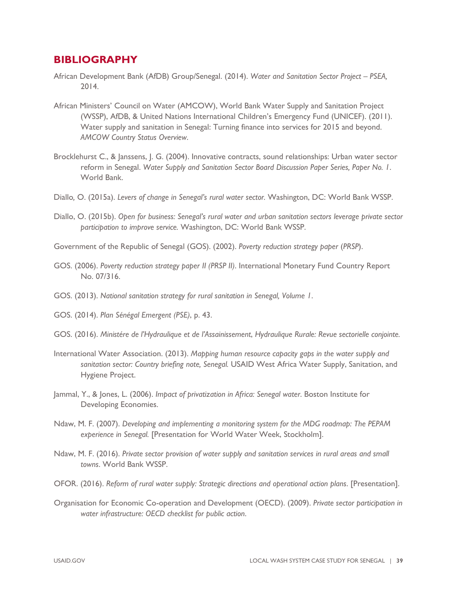### **BIBLIOGRAPHY**

- African Development Bank (AfDB) Group/Senegal. (2014). *Water and Sanitation Sector Project – PSEA,* 2014.
- African Ministers' Council on Water (AMCOW), World Bank Water Supply and Sanitation Project (WSSP), AfDB, & United Nations International Children's Emergency Fund (UNICEF). (2011). Water supply and sanitation in Senegal: Turning finance into services for 2015 and beyond. *AMCOW Country Status Overview*.
- Brocklehurst C., & Janssens, J. G. (2004). Innovative contracts, sound relationships: Urban water sector reform in Senegal. *Water Supply and Sanitation Sector Board Discussion Paper Series, Paper No. 1*. World Bank.
- Diallo*,* O. (2015a). *Levers of change in Senegal's rural water sector.* Washington, DC: World Bank WSSP.
- Diallo, O. (2015b). *Open for business: Senegal's rural water and urban sanitation sectors leverage private sector participation to improve service.* Washington, DC: World Bank WSSP.

Government of the Republic of Senegal (GOS). (2002). *Poverty reduction strategy paper* (*PRSP*).

- GOS. (2006). *Poverty reduction strategy paper II (PRSP II)*. International Monetary Fund Country Report No. 07/316.
- GOS. (2013). *National sanitation strategy for rural sanitation in Senegal, Volume 1*.
- GOS. (2014). *Plan Sénégal Emergent (PSE)*, p. 43.
- GOS. (2016). *Ministére de l'Hydraulique et de l'Assainissement*, *Hydraulique Rurale: Revue sectorielle conjointe.*
- International Water Association. (2013). *Mapping human resource capacity gaps in the water supply and sanitation sector: Country briefing note, Senegal.* USAID West Africa Water Supply, Sanitation, and Hygiene Project.
- Jammal, Y., & Jones, L. (2006). *Impact of privatization in Africa: Senegal water*. Boston Institute for Developing Economies.
- Ndaw, M. F. (2007). *Developing and implementing a monitoring system for the MDG roadmap: The PEPAM experience in Senegal.* [Presentation for World Water Week, Stockholm].
- Ndaw, M. F. (2016). *Private sector provision of water supply and sanitation services in rural areas and small towns*. World Bank WSSP.
- OFOR. (2016). *Reform of rural water supply: Strategic directions and operational action plans*. [Presentation].
- Organisation for Economic Co-operation and Development (OECD). (2009). *Private sector participation in water infrastructure: OECD checklist for public action*.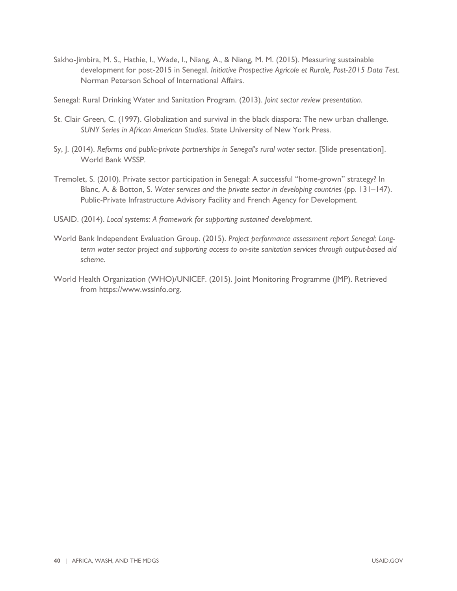Sakho-Jimbira, M. S., Hathie, I., Wade, I., Niang, A., & Niang, M. M. (2015). Measuring sustainable development for post-2015 in Senegal. *Initiative Prospective Agricole et Rurale, Post-2015 Data Test*. Norman Peterson School of International Affairs.

Senegal: Rural Drinking Water and Sanitation Program. (2013). *Joint sector review presentation*.

- St. Clair Green, C. (1997). Globalization and survival in the black diaspora: The new urban challenge. *SUNY Series in African American Studies*. State University of New York Press.
- Sy, J. (2014). *Reforms and public-private partnerships in Senegal's rural water sector*. [Slide presentation]. World Bank WSSP.
- Tremolet, S. (2010). Private sector participation in Senegal: A successful "home-grown" strategy? In Blanc, A. & Botton, S. *Water services and the private sector in developing countries* (pp. 131–147). Public-Private Infrastructure Advisory Facility and French Agency for Development.
- USAID. (2014). *Local systems: A framework for supporting sustained development*.
- World Bank Independent Evaluation Group. (2015). *Project performance assessment report Senegal: Longterm water sector project and supporting access to on-site sanitation services through output-based aid scheme*.
- World Health Organization (WHO)/UNICEF. (2015). Joint Monitoring Programme (JMP). Retrieved from https://www.wssinfo.org.